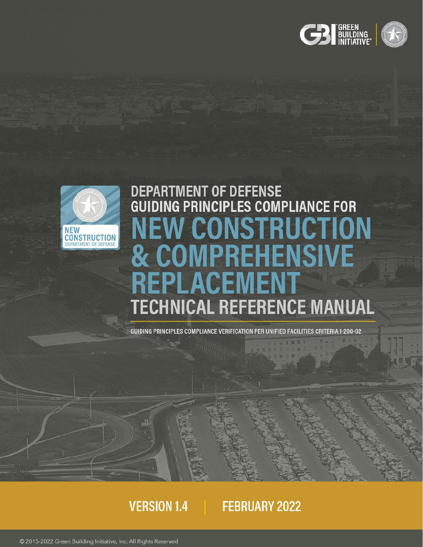



# DEPARTMENT OF DEFENSE<br>GUIDING PRINCIPLES COMPLIANCE FOR **CONSTRUCTION & COMPREHENSIVE** REPLACEMENT **TECHNICAL REFERENCE MANUAL**

GUIDING PRINCIPLES COMPLIANCE VERIFICATION PER UNIFIED FACILITIES CRITERIA 1-200-02

# **VERSION 1.4**

# FEBRUARY 2022

© 2015-2022 Green Building Initiative, Inc. All Rights Reserved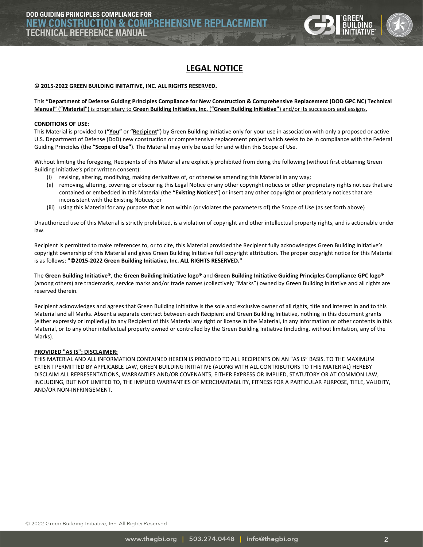

# **LEGAL NOTICE**

#### <span id="page-1-0"></span>**© 2015-2022 GREEN BUILDING INITAITIVE, INC. ALL RIGHTS RESERVED.**

#### This **"Department of Defense Guiding Principles Compliance for New Construction & Comprehensive Replacement (DOD GPC NC) Technical Manual"** (**"Material"**) is proprietary to **Green Building Initiative, Inc.** (**"Green Building Initiative"**) and/or its successors and assigns.

#### **CONDITIONS OF USE:**

This Material is provided to (**"You"** or **"Recipient"**) by Green Building Initiative only for your use in association with only a proposed or active U.S. Department of Defense (DoD) new construction or comprehensive replacement project which seeks to be in compliance with the Federal Guiding Principles (the **"Scope of Use"**). The Material may only be used for and within this Scope of Use.

Without limiting the foregoing, Recipients of this Material are explicitly prohibited from doing the following (without first obtaining Green Building Initiative's prior written consent):

- (i) revising, altering, modifying, making derivatives of, or otherwise amending this Material in any way;
- (ii) removing, altering, covering or obscuring this Legal Notice or any other copyright notices or other proprietary rights notices that are contained or embedded in this Material (the **"Existing Notices"**) or insert any other copyright or proprietary notices that are inconsistent with the Existing Notices; or
- (iii) using this Material for any purpose that is not within (or violates the parameters of) the Scope of Use (as set forth above)

Unauthorized use of this Material is strictly prohibited, is a violation of copyright and other intellectual property rights, and is actionable under law.

Recipient is permitted to make references to, or to cite, this Material provided the Recipient fully acknowledges Green Building Initiative's copyright ownership of this Material and gives Green Building Initiative full copyright attribution. The proper copyright notice for this Material is as follows: **"©2015-2022 Green Building Initiative, Inc. ALL RIGHTS RESERVED."**

The **Green Building Initiative®**, the **Green Building Initiative logo®** and **Green Building Initiative Guiding Principles Compliance GPC logo®** (among others) are trademarks, service marks and/or trade names (collectively "Marks") owned by Green Building Initiative and all rights are reserved therein.

Recipient acknowledges and agrees that Green Building Initiative is the sole and exclusive owner of all rights, title and interest in and to this Material and all Marks. Absent a separate contract between each Recipient and Green Building Initiative, nothing in this document grants (either expressly or impliedly) to any Recipient of this Material any right or license in the Material, in any information or other contents in this Material, or to any other intellectual property owned or controlled by the Green Building Initiative (including, without limitation, any of the Marks).

#### **PROVIDED "AS IS"; DISCLAIMER:**

THIS MATERIAL AND ALL INFORMATION CONTAINED HEREIN IS PROVIDED TO ALL RECIPIENTS ON AN "AS IS" BASIS. TO THE MAXIMUM EXTENT PERMITTED BY APPLICABLE LAW, GREEN BUILDING INITIATIVE (ALONG WITH ALL CONTRIBUTORS TO THIS MATERIAL) HEREBY DISCLAIM ALL REPRESENTATIONS, WARRANTIES AND/OR COVENANTS, EITHER EXPRESS OR IMPLIED, STATUTORY OR AT COMMON LAW, INCLUDING, BUT NOT LIMITED TO, THE IMPLIED WARRANTIES OF MERCHANTABILITY, FITNESS FOR A PARTICULAR PURPOSE, TITLE, VALIDITY, AND/OR NON-INFRINGEMENT.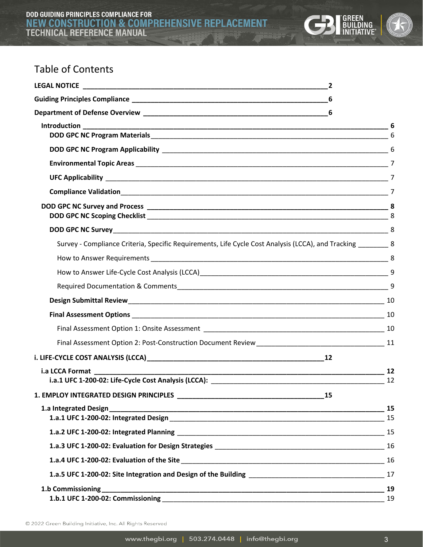

# Table of Contents

|                                                                                                               |    | 6 |
|---------------------------------------------------------------------------------------------------------------|----|---|
|                                                                                                               |    |   |
|                                                                                                               |    |   |
|                                                                                                               |    |   |
|                                                                                                               |    |   |
|                                                                                                               |    |   |
|                                                                                                               |    |   |
|                                                                                                               |    |   |
| Survey - Compliance Criteria, Specific Requirements, Life Cycle Cost Analysis (LCCA), and Tracking ________ 8 |    |   |
|                                                                                                               |    |   |
|                                                                                                               |    |   |
|                                                                                                               |    | 9 |
|                                                                                                               |    |   |
|                                                                                                               |    |   |
|                                                                                                               |    |   |
|                                                                                                               |    |   |
|                                                                                                               |    |   |
|                                                                                                               |    |   |
|                                                                                                               |    |   |
|                                                                                                               |    |   |
|                                                                                                               |    |   |
|                                                                                                               |    |   |
|                                                                                                               |    |   |
|                                                                                                               |    |   |
|                                                                                                               |    |   |
|                                                                                                               |    |   |
|                                                                                                               |    |   |
|                                                                                                               | 19 |   |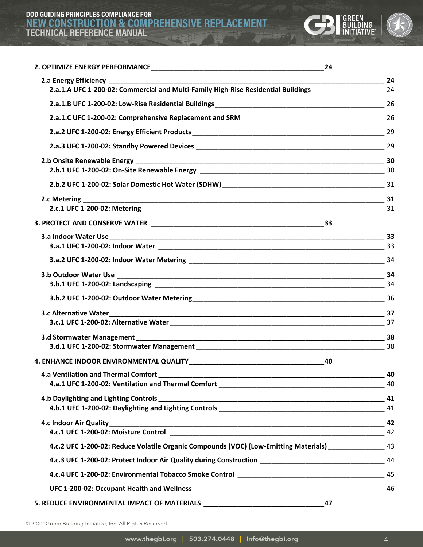# DOD GUIDING PRINCIPLES COMPLIANCE FOR<br>NEW CONSTRUCTION & COMPREHENSIVE REPLACEMENT<br>TECHNICAL REFERENCE MANUAL



| 24                                                                                                            |    |
|---------------------------------------------------------------------------------------------------------------|----|
|                                                                                                               | 24 |
| 2.a.1.A UFC 1-200-02: Commercial and Multi-Family High-Rise Residential Buildings _________________________24 |    |
|                                                                                                               |    |
|                                                                                                               |    |
|                                                                                                               |    |
|                                                                                                               |    |
|                                                                                                               |    |
|                                                                                                               |    |
|                                                                                                               |    |
|                                                                                                               |    |
|                                                                                                               |    |
|                                                                                                               |    |
|                                                                                                               |    |
|                                                                                                               |    |
|                                                                                                               |    |
|                                                                                                               |    |
|                                                                                                               |    |
|                                                                                                               |    |
|                                                                                                               |    |
|                                                                                                               |    |
| 40<br>4. ENHANCE INDOOR ENVIRONMENTAL QUALITY                                                                 |    |
|                                                                                                               | 40 |
|                                                                                                               |    |
|                                                                                                               |    |
|                                                                                                               |    |
|                                                                                                               |    |
|                                                                                                               | 42 |
| 43 43. 4. 4. 2 UFC 1-200-02: Reduce Volatile Organic Compounds (VOC) (Low-Emitting Materials)                 |    |
|                                                                                                               |    |
| 45 4.c.4 UFC 1-200-02: Environmental Tobacco Smoke Control ______________________                             |    |
|                                                                                                               |    |
| 47                                                                                                            |    |

© 2022 Green Building Initiative, Inc. All Rights Reserved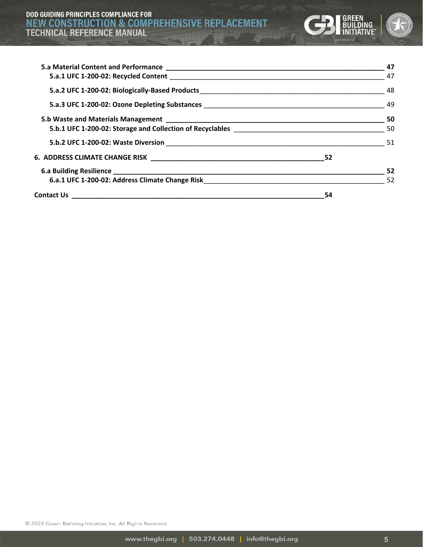

|    | 47  |
|----|-----|
|    |     |
|    |     |
|    |     |
|    |     |
|    |     |
|    |     |
|    |     |
|    | -52 |
|    |     |
| 54 |     |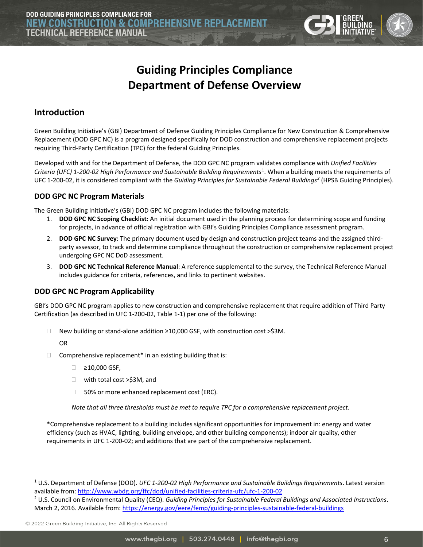

# **Guiding Principles Compliance Department of Defense Overview**

## <span id="page-5-2"></span><span id="page-5-1"></span><span id="page-5-0"></span>**Introduction**

Green Building Initiative's (GBI) Department of Defense Guiding Principles Compliance for New Construction & Comprehensive Replacement (DOD GPC NC) is a program designed specifically for DOD construction and comprehensive replacement projects requiring Third-Party Certification (TPC) for the federal Guiding Principles.

Developed with and for the Department of Defense, the DOD GPC NC program validates compliance with *Unified Facilities*  Criteria (UFC) [1](#page-5-5)-200-02 High Performance and Sustainable Building Requirements<sup>1</sup>. When a building meets the requirements of UFC 1-200-02, it is considered compliant with the *Guiding Principles for Sustainable Federal Buildings[2](#page-5-6)* (HPSB Guiding Principles).

#### <span id="page-5-3"></span>**DOD GPC NC Program Materials**

The Green Building Initiative's (GBI) DOD GPC NC program includes the following materials:

- 1. **DOD GPC NC Scoping Checklist:** An initial document used in the planning process for determining scope and funding for projects, in advance of official registration with GBI's Guiding Principles Compliance assessment program.
- 2. **DOD GPC NC Survey**: The primary document used by design and construction project teams and the assigned thirdparty assessor, to track and determine compliance throughout the construction or comprehensive replacement project undergoing GPC NC DoD assessment.
- 3. **DOD GPC NC Technical Reference Manual**: A reference supplemental to the survey, the Technical Reference Manual includes guidance for criteria, references, and links to pertinent websites.

#### <span id="page-5-4"></span>**DOD GPC NC Program Applicability**

GBI's DOD GPC NC program applies to new construction and comprehensive replacement that require addition of Third Party Certification (as described in UFC 1-200-02, Table 1-1) per one of the following:

New building or stand-alone addition ≥10,000 GSF, with construction cost >\$3M.

OR

- $\Box$  Comprehensive replacement\* in an existing building that is:
	- ≥10,000 GSF,
	- □ with total cost >\$3M, and
	- $\Box$  50% or more enhanced replacement cost (ERC).

*Note that all three thresholds must be met to require TPC for a comprehensive replacement project.*

\*Comprehensive replacement to a building includes significant opportunities for improvement in: energy and water efficiency (such as HVAC, lighting, building envelope, and other building components); indoor air quality, other requirements in UFC 1-200-02; and additions that are part of the comprehensive replacement.

<span id="page-5-5"></span><sup>1</sup> U.S. Department of Defense (DOD). *UFC 1-200-02 High Performance and Sustainable Buildings Requirements*. Latest version available from[: http://www.wbdg.org/ffc/dod/unified-facilities-criteria-ufc/ufc-1-200-02](http://www.wbdg.org/ffc/dod/unified-facilities-criteria-ufc/ufc-1-200-02)

<span id="page-5-6"></span><sup>2</sup> U.S. Council on Environmental Quality (CEQ). *Guiding Principles for Sustainable Federal Buildings and Associated Instructions*. March 2, 2016. Available from:<https://energy.gov/eere/femp/guiding-principles-sustainable-federal-buildings>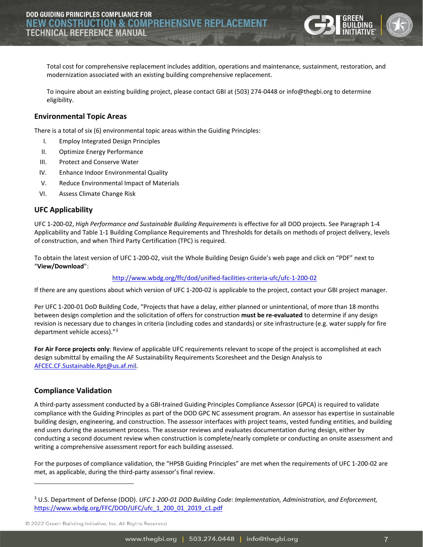

Total cost for comprehensive replacement includes addition, operations and maintenance, sustainment, restoration, and modernization associated with an existing building comprehensive replacement.

To inquire about an existing building project, please contact GBI at (503) 274-0448 or [info@thegbi.org](mailto:info@thegbi.org) to determine eligibility.

#### <span id="page-6-0"></span>**Environmental Topic Areas**

There is a total of six (6) environmental topic areas within the Guiding Principles:

- I. Employ Integrated Design Principles
- II. Optimize Energy Performance
- III. Protect and Conserve Water
- IV. Enhance Indoor Environmental Quality
- V. Reduce Environmental Impact of Materials
- VI. Assess Climate Change Risk

#### <span id="page-6-1"></span>**UFC Applicability**

UFC 1-200-02, *High Performance and Sustainable Building Requirements* is effective for all DOD projects. See Paragraph 1-4 Applicability and Table 1-1 Building Compliance Requirements and Thresholds for details on methods of project delivery, levels of construction, and when Third Party Certification (TPC) is required.

To obtain the latest version of UFC 1-200-02, visit the Whole Building Design Guide's web page and click on "PDF" next to "**View/Download**":

#### <http://www.wbdg.org/ffc/dod/unified-facilities-criteria-ufc/ufc-1-200-02>

If there are any questions about which version of UFC 1-200-02 is applicable to the project, contact your GBI project manager.

Per UFC 1-200-01 DoD Building Code, "Projects that have a delay, either planned or unintentional, of more than 18 months between design completion and the solicitation of offers for construction **must be re-evaluated** to determine if any design revision is necessary due to changes in criteria (including codes and standards) or site infrastructure (e.g. water supply for fire department vehicle access)."<sup>[3](#page-6-3)</sup>

**For Air Force projects only**: Review of applicable UFC requirements relevant to scope of the project is accomplished at each design submittal by emailing the AF Sustainability Requirements Scoresheet and the Design Analysis to [AFCEC.CF.Sustainable.Rpt@us.af.mil.](mailto:AFCEC.CF.Sustainable.Rpt@us.af.mil) 

#### <span id="page-6-2"></span>**Compliance Validation**

A third-party assessment conducted by a GBI-trained Guiding Principles Compliance Assessor (GPCA) is required to validate compliance with the Guiding Principles as part of the DOD GPC NC assessment program. An assessor has expertise in sustainable building design, engineering, and construction. The assessor interfaces with project teams, vested funding entities, and building end users during the assessment process. The assessor reviews and evaluates documentation during design, either by conducting a second document review when construction is complete/nearly complete or conducting an onsite assessment and writing a comprehensive assessment report for each building assessed.

For the purposes of compliance validation, the "HPSB Guiding Principles" are met when the requirements of UFC 1-200-02 are met, as applicable, during the third-party assessor's final review.

<span id="page-6-3"></span><sup>3</sup> U.S. Department of Defense (DOD). *UFC 1-200-01 DOD Building Code: Implementation, Administration, and Enforcement,*  [https://www.wbdg.org/FFC/DOD/UFC/ufc\\_1\\_200\\_01\\_2019\\_c1.pdf](https://www.wbdg.org/FFC/DOD/UFC/ufc_1_200_01_2019_c1.pdf)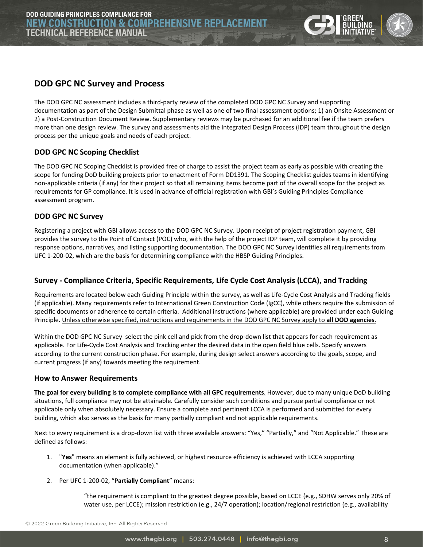

#### <span id="page-7-0"></span>**DOD GPC NC Survey and Process**

The DOD GPC NC assessment includes a third-party review of the completed DOD GPC NC Survey and supporting documentation as part of the Design Submittal phase as well as one of two final assessment options; 1) an Onsite Assessment or 2) a Post-Construction Document Review. Supplementary reviews may be purchased for an additional fee if the team prefers more than one design review. The survey and assessments aid the Integrated Design Process (IDP) team throughout the design process per the unique goals and needs of each project.

#### <span id="page-7-1"></span>**DOD GPC NC Scoping Checklist**

The DOD GPC NC Scoping Checklist is provided free of charge to assist the project team as early as possible with creating the scope for funding DoD building projects prior to enactment of Form DD1391. The Scoping Checklist guides teams in identifying non-applicable criteria (if any) for their project so that all remaining items become part of the overall scope for the project as requirements for GP compliance. It is used in advance of official registration with GBI's Guiding Principles Compliance assessment program.

#### <span id="page-7-2"></span>**DOD GPC NC Survey**

Registering a project with GBI allows access to the DOD GPC NC Survey. Upon receipt of project registration payment, GBI provides the survey to the Point of Contact (POC) who, with the help of the project IDP team, will complete it by providing response options, narratives, and listing supporting documentation. The DOD GPC NC Survey identifies all requirements from UFC 1-200-02, which are the basis for determining compliance with the HBSP Guiding Principles.

#### <span id="page-7-3"></span>**Survey - Compliance Criteria, Specific Requirements, Life Cycle Cost Analysis (LCCA), and Tracking**

Requirements are located below each Guiding Principle within the survey, as well as Life-Cycle Cost Analysis and Tracking fields (if applicable). Many requirements refer to International Green Construction Code (IgCC), while others require the submission of specific documents or adherence to certain criteria. Additional instructions (where applicable) are provided under each Guiding Principle. Unless otherwise specified, instructions and requirements in the DOD GPC NC Survey apply to **all DOD agencies**.

Within the DOD GPC NC Survey select the pink cell and pick from the drop-down list that appears for each requirement as applicable. For Life-Cycle Cost Analysis and Tracking enter the desired data in the open field blue cells. Specify answers according to the current construction phase. For example, during design select answers according to the goals, scope, and current progress (if any) towards meeting the requirement.

#### <span id="page-7-4"></span>**How to Answer Requirements**

**The goal for every building is to complete compliance with all GPC requirements**. However, due to many unique DoD building situations, full compliance may not be attainable. Carefully consider such conditions and pursue partial compliance or not applicable only when absolutely necessary. Ensure a complete and pertinent LCCA is performed and submitted for every building, which also serves as the basis for many partially compliant and not applicable requirements.

Next to every requirement is a drop-down list with three available answers: "Yes," "Partially," and "Not Applicable." These are defined as follows:

- 1. "**Yes**" means an element is fully achieved, or highest resource efficiency is achieved with LCCA supporting documentation (when applicable)."
- 2. Per UFC 1-200-02, "**Partially Compliant**" means:

"the requirement is compliant to the greatest degree possible, based on LCCE (e.g., SDHW serves only 20% of water use, per LCCE); mission restriction (e.g., 24/7 operation); location/regional restriction (e.g., availability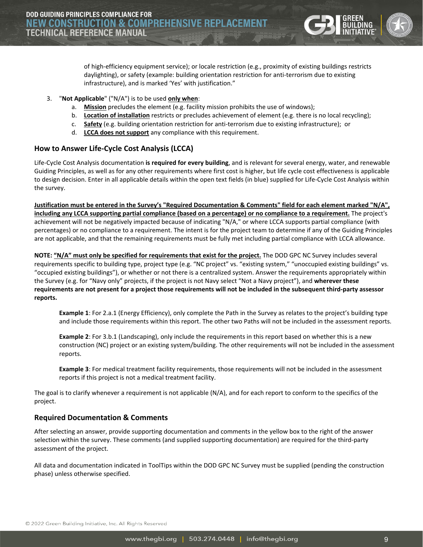

of high-efficiency equipment service); or locale restriction (e.g., proximity of existing buildings restricts daylighting), or safety (example: building orientation restriction for anti-terrorism due to existing infrastructure), and is marked 'Yes' with justification."

- 3. "**Not Applicable**" ("N/A") is to be used **only when**:
	- a. **Mission** precludes the element (e.g. facility mission prohibits the use of windows);
	- b. **Location of installation** restricts or precludes achievement of element (e.g. there is no local recycling);
	- c. **Safety** (e.g. building orientation restriction for anti-terrorism due to existing infrastructure); or
	- d. **LCCA does not support** any compliance with this requirement.

#### <span id="page-8-0"></span>**How to Answer Life-Cycle Cost Analysis (LCCA)**

Life-Cycle Cost Analysis documentation **is required for every building**, and is relevant for several energy, water, and renewable Guiding Principles, as well as for any other requirements where first cost is higher, but life cycle cost effectiveness is applicable to design decision. Enter in all applicable details within the open text fields (in blue) supplied for Life-Cycle Cost Analysis within the survey.

**Justification must be entered in the Survey's "Required Documentation & Comments" field for each element marked "N/A", including any LCCA supporting partial compliance (based on a percentage) or no compliance to a requirement.** The project's achievement will not be negatively impacted because of indicating "N/A," or where LCCA supports partial compliance (with percentages) or no compliance to a requirement. The intent is for the project team to determine if any of the Guiding Principles are not applicable, and that the remaining requirements must be fully met including partial compliance with LCCA allowance.

**NOTE: "N/A" must only be specified for requirements that exist for the project.** The DOD GPC NC Survey includes several requirements specific to building type, project type (e.g. "NC project" vs. "existing system," "unoccupied existing buildings" vs. "occupied existing buildings"), or whether or not there is a centralized system. Answer the requirements appropriately within the Survey (e.g. for "Navy only" projects, if the project is not Navy select "Not a Navy project"), and **wherever these requirements are not present for a project those requirements will not be included in the subsequent third-party assessor reports.**

**Example 1**: For 2.a.1 (Energy Efficiency), only complete the Path in the Survey as relates to the project's building type and include those requirements within this report. The other two Paths will not be included in the assessment reports.

**Example 2**: For 3.b.1 (Landscaping), only include the requirements in this report based on whether this is a new construction (NC) project or an existing system/building. The other requirements will not be included in the assessment reports.

**Example 3**: For medical treatment facility requirements, those requirements will not be included in the assessment reports if this project is not a medical treatment facility.

The goal is to clarify whenever a requirement is not applicable (N/A), and for each report to conform to the specifics of the project.

#### <span id="page-8-1"></span>**Required Documentation & Comments**

After selecting an answer, provide supporting documentation and comments in the yellow box to the right of the answer selection within the survey. These comments (and supplied supporting documentation) are required for the third-party assessment of the project.

All data and documentation indicated in ToolTips within the DOD GPC NC Survey must be supplied (pending the construction phase) unless otherwise specified.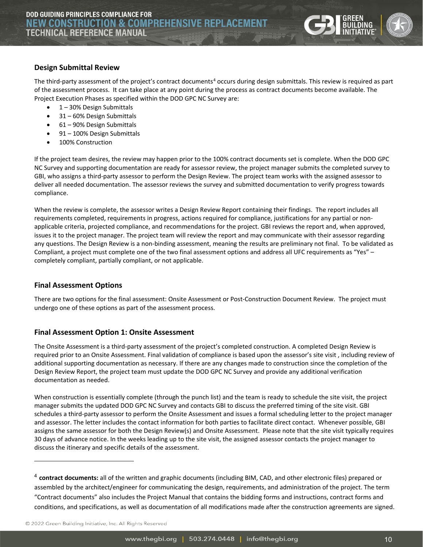

#### <span id="page-9-0"></span>**Design Submittal Review**

The third-party assessment of the project's contract documents<sup>[4](#page-9-3)</sup> occurs during design submittals. This review is required as part of the assessment process. It can take place at any point during the process as contract documents become available. The Project Execution Phases as specified within the DOD GPC NC Survey are:

- 1 30% Design Submittals
- 31 60% Design Submittals
- 61 90% Design Submittals
- 91 100% Design Submittals
- 100% Construction

If the project team desires, the review may happen prior to the 100% contract documents set is complete. When the DOD GPC NC Survey and supporting documentation are ready for assessor review, the project manager submits the completed survey to GBI, who assigns a third-party assessor to perform the Design Review. The project team works with the assigned assessor to deliver all needed documentation. The assessor reviews the survey and submitted documentation to verify progress towards compliance.

When the review is complete, the assessor writes a Design Review Report containing their findings. The report includes all requirements completed, requirements in progress, actions required for compliance, justifications for any partial or nonapplicable criteria, projected compliance, and recommendations for the project. GBI reviews the report and, when approved, issues it to the project manager. The project team will review the report and may communicate with their assessor regarding any questions. The Design Review is a non-binding assessment, meaning the results are preliminary not final. To be validated as Compliant, a project must complete one of the two final assessment options and address all UFC requirements as "Yes" – completely compliant, partially compliant, or not applicable.

#### <span id="page-9-1"></span>**Final Assessment Options**

There are two options for the final assessment: Onsite Assessment or Post-Construction Document Review. The project must undergo one of these options as part of the assessment process.

#### <span id="page-9-2"></span>**Final Assessment Option 1: Onsite Assessment**

The Onsite Assessment is a third-party assessment of the project's completed construction. A completed Design Review is required prior to an Onsite Assessment. Final validation of compliance is based upon the assessor's site visit , including review of additional supporting documentation as necessary. If there are any changes made to construction since the completion of the Design Review Report, the project team must update the DOD GPC NC Survey and provide any additional verification documentation as needed.

When construction is essentially complete (through the punch list) and the team is ready to schedule the site visit, the project manager submits the updated DOD GPC NC Survey and contacts GBI to discuss the preferred timing of the site visit. GBI schedules a third-party assessor to perform the Onsite Assessment and issues a formal scheduling letter to the project manager and assessor. The letter includes the contact information for both parties to facilitate direct contact. Whenever possible, GBI assigns the same assessor for both the Design Review(s) and Onsite Assessment. Please note that the site visit typically requires 30 days of advance notice. In the weeks leading up to the site visit, the assigned assessor contacts the project manager to discuss the itinerary and specific details of the assessment.

<span id="page-9-3"></span><sup>4</sup> **contract documents:** all of the written and graphic documents (including BIM, CAD, and other electronic files) prepared or assembled by the architect/engineer for communicating the design, requirements, and administration of the project. The term "Contract documents" also includes the Project Manual that contains the bidding forms and instructions, contract forms and conditions, and specifications, as well as documentation of all modifications made after the construction agreements are signed.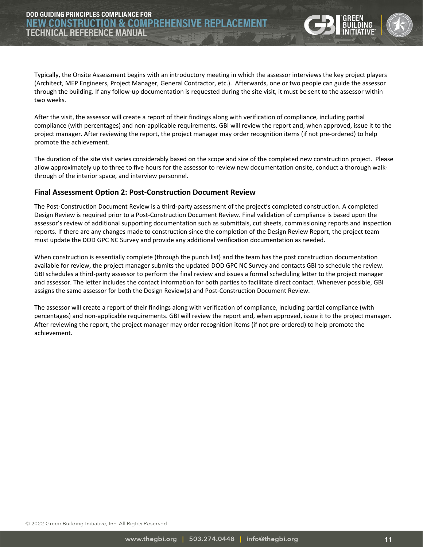Typically, the Onsite Assessment begins with an introductory meeting in which the assessor interviews the key project players (Architect, MEP Engineers, Project Manager, General Contractor, etc.). Afterwards, one or two people can guide the assessor through the building. If any follow-up documentation is requested during the site visit, it must be sent to the assessor within two weeks.

After the visit, the assessor will create a report of their findings along with verification of compliance, including partial compliance (with percentages) and non-applicable requirements. GBI will review the report and, when approved, issue it to the project manager. After reviewing the report, the project manager may order recognition items (if not pre-ordered) to help promote the achievement.

The duration of the site visit varies considerably based on the scope and size of the completed new construction project. Please allow approximately up to three to five hours for the assessor to review new documentation onsite, conduct a thorough walkthrough of the interior space, and interview personnel.

#### <span id="page-10-0"></span>**Final Assessment Option 2: Post-Construction Document Review**

The Post-Construction Document Review is a third-party assessment of the project's completed construction. A completed Design Review is required prior to a Post-Construction Document Review. Final validation of compliance is based upon the assessor's review of additional supporting documentation such as submittals, cut sheets, commissioning reports and inspection reports. If there are any changes made to construction since the completion of the Design Review Report, the project team must update the DOD GPC NC Survey and provide any additional verification documentation as needed.

When construction is essentially complete (through the punch list) and the team has the post construction documentation available for review, the project manager submits the updated DOD GPC NC Survey and contacts GBI to schedule the review. GBI schedules a third-party assessor to perform the final review and issues a formal scheduling letter to the project manager and assessor. The letter includes the contact information for both parties to facilitate direct contact. Whenever possible, GBI assigns the same assessor for both the Design Review(s) and Post-Construction Document Review.

The assessor will create a report of their findings along with verification of compliance, including partial compliance (with percentages) and non-applicable requirements. GBI will review the report and, when approved, issue it to the project manager. After reviewing the report, the project manager may order recognition items (if not pre-ordered) to help promote the achievement.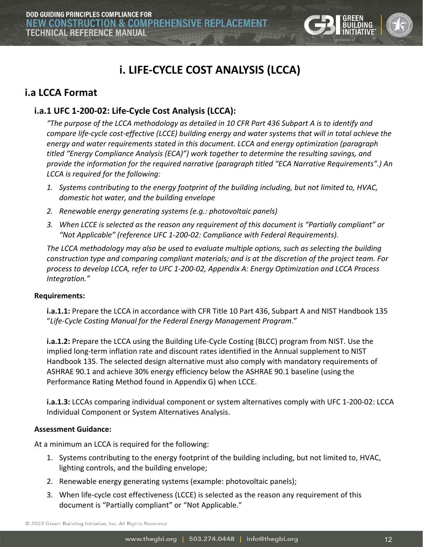

# **i. LIFE-CYCLE COST ANALYSIS (LCCA)**

# <span id="page-11-1"></span><span id="page-11-0"></span>**i.a LCCA Format**

# <span id="page-11-2"></span>**i.a.1 UFC 1-200-02: Life-Cycle Cost Analysis (LCCA):**

*"The purpose of the LCCA methodology as detailed in 10 CFR Part 436 Subpart A is to identify and compare life-cycle cost-effective (LCCE) building energy and water systems that will in total achieve the energy and water requirements stated in this document. LCCA and energy optimization (paragraph titled "Energy Compliance Analysis (ECA)") work together to determine the resulting savings, and provide the information for the required narrative (paragraph titled "ECA Narrative Requirements".) An LCCA is required for the following:*

- *1. Systems contributing to the energy footprint of the building including, but not limited to, HVAC, domestic hot water, and the building envelope*
- *2. Renewable energy generating systems (e.g.: photovoltaic panels)*
- *3. When LCCE is selected as the reason any requirement of this document is "Partially compliant" or "Not Applicable" (reference UFC 1-200-02: Compliance with Federal Requirements).*

*The LCCA methodology may also be used to evaluate multiple options, such as selecting the building construction type and comparing compliant materials; and is at the discretion of the project team. For process to develop LCCA, refer to UFC 1-200-02, Appendix A: Energy Optimization and LCCA Process Integration."* 

#### **Requirements:**

**i.a.1.1:** Prepare the LCCA in accordance with CFR Title 10 Part 436, Subpart A and NIST Handbook 135 "*Life-Cycle Costing Manual for the Federal Energy Management Program*."

**i.a.1.2:** Prepare the LCCA using the Building Life-Cycle Costing (BLCC) program from NIST. Use the implied long-term inflation rate and discount rates identified in the Annual supplement to NIST Handbook 135. The selected design alternative must also comply with mandatory requirements of ASHRAE 90.1 and achieve 30% energy efficiency below the ASHRAE 90.1 baseline (using the Performance Rating Method found in Appendix G) when LCCE.

**i.a.1.3:** LCCAs comparing individual component or system alternatives comply with UFC 1-200-02: LCCA Individual Component or System Alternatives Analysis.

#### **Assessment Guidance:**

At a minimum an LCCA is required for the following:

- 1. Systems contributing to the energy footprint of the building including, but not limited to, HVAC, lighting controls, and the building envelope;
- 2. Renewable energy generating systems (example: photovoltaic panels);
- 3. When life-cycle cost effectiveness (LCCE) is selected as the reason any requirement of this document is "Partially compliant" or "Not Applicable."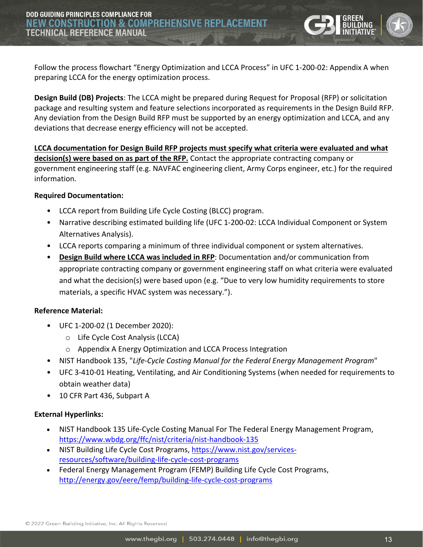Follow the process flowchart "Energy Optimization and LCCA Process" in UFC 1-200-02: Appendix A when preparing LCCA for the energy optimization process.

**Design Build (DB) Projects**: The LCCA might be prepared during Request for Proposal (RFP) or solicitation package and resulting system and feature selections incorporated as requirements in the Design Build RFP. Any deviation from the Design Build RFP must be supported by an energy optimization and LCCA, and any deviations that decrease energy efficiency will not be accepted.

**LCCA documentation for Design Build RFP projects must specify what criteria were evaluated and what decision(s) were based on as part of the RFP.** Contact the appropriate contracting company or government engineering staff (e.g. NAVFAC engineering client, Army Corps engineer, etc.) for the required information.

#### **Required Documentation:**

- LCCA report from Building Life Cycle Costing (BLCC) program.
- Narrative describing estimated building life (UFC 1-200-02: LCCA Individual Component or System Alternatives Analysis).
- LCCA reports comparing a minimum of three individual component or system alternatives.
- **Design Build where LCCA was included in RFP**: Documentation and/or communication from appropriate contracting company or government engineering staff on what criteria were evaluated and what the decision(s) were based upon (e.g. "Due to very low humidity requirements to store materials, a specific HVAC system was necessary.").

#### **Reference Material:**

- UFC 1-200-02 (1 December 2020):
	- o Life Cycle Cost Analysis (LCCA)
	- o Appendix A Energy Optimization and LCCA Process Integration
- NIST Handbook 135, "*Life-Cycle Costing Manual for the Federal Energy Management Program*"
- UFC 3-410-01 Heating, Ventilating, and Air Conditioning Systems (when needed for requirements to obtain weather data)
- 10 CFR Part 436, Subpart A

#### **External Hyperlinks:**

- NIST Handbook 135 Life-Cycle Costing Manual For The Federal Energy Management Program, <https://www.wbdg.org/ffc/nist/criteria/nist-handbook-135>
- NIST Building Life Cycle Cost Programs, [https://www.nist.gov/services](https://www.nist.gov/services-resources/software/building-life-cycle-cost-programs)[resources/software/building-life-cycle-cost-programs](https://www.nist.gov/services-resources/software/building-life-cycle-cost-programs)
- Federal Energy Management Program (FEMP) Building Life Cycle Cost Programs, <http://energy.gov/eere/femp/building-life-cycle-cost-programs>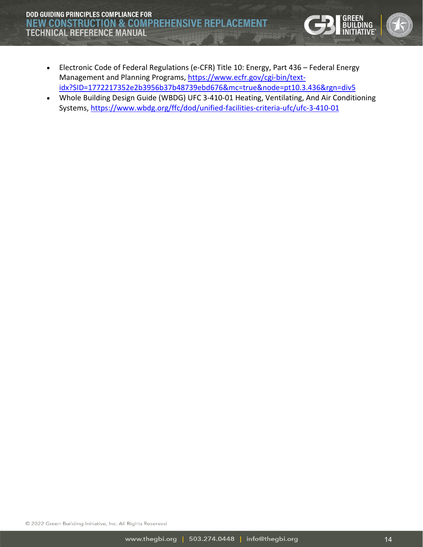**DOD GUIDING PRINCIPLES COMPLIANCE FOR NEW CONSTRUCTION & COMPREHENSIVE REPLACEMENT TECHNICAL REFERENCE MANUAL** 

- Electronic Code of Federal Regulations (e-CFR) Title 10: Energy, Part 436 Federal Energy Management and Planning Programs, [https://www.ecfr.gov/cgi-bin/text](https://www.ecfr.gov/cgi-bin/text-idx?SID=1772217352e2b3956b37b48739ebd676&mc=true&node=pt10.3.436&rgn=div5)[idx?SID=1772217352e2b3956b37b48739ebd676&mc=true&node=pt10.3.436&rgn=div5](https://www.ecfr.gov/cgi-bin/text-idx?SID=1772217352e2b3956b37b48739ebd676&mc=true&node=pt10.3.436&rgn=div5)
- Whole Building Design Guide (WBDG) UFC 3-410-01 Heating, Ventilating, And Air Conditioning Systems, <https://www.wbdg.org/ffc/dod/unified-facilities-criteria-ufc/ufc-3-410-01>

© 2022 Green Building Initiative, Inc. All Rights Reserved

GREEN<br>BUILDING<br>WITIATIVE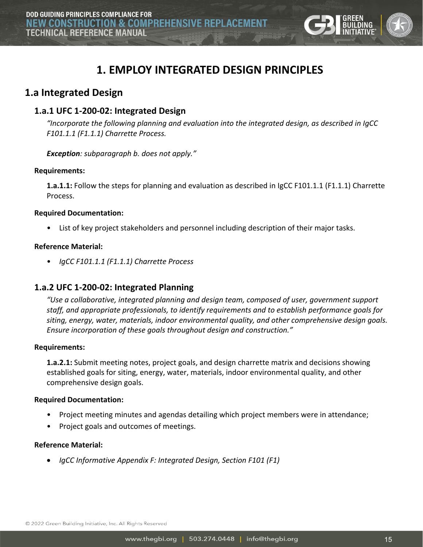

# **1. EMPLOY INTEGRATED DESIGN PRINCIPLES**

# <span id="page-14-1"></span><span id="page-14-0"></span>**1.a Integrated Design**

## <span id="page-14-2"></span>**1.a.1 UFC 1-200-02: Integrated Design**

*"Incorporate the following planning and evaluation into the integrated design, as described in IgCC F101.1.1 (F1.1.1) Charrette Process.*

*Exception: subparagraph b. does not apply."*

#### **Requirements:**

**1.a.1.1:** Follow the steps for planning and evaluation as described in IgCC F101.1.1 (F1.1.1) Charrette Process.

#### **Required Documentation:**

• List of key project stakeholders and personnel including description of their major tasks.

#### **Reference Material:**

• *IgCC F101.1.1 (F1.1.1) Charrette Process*

## <span id="page-14-3"></span>**1.a.2 UFC 1-200-02: Integrated Planning**

*"Use a collaborative, integrated planning and design team, composed of user, government support staff, and appropriate professionals, to identify requirements and to establish performance goals for siting, energy, water, materials, indoor environmental quality, and other comprehensive design goals. Ensure incorporation of these goals throughout design and construction."* 

#### **Requirements:**

**1.a.2.1:** Submit meeting notes, project goals, and design charrette matrix and decisions showing established goals for siting, energy, water, materials, indoor environmental quality, and other comprehensive design goals.

#### **Required Documentation:**

- Project meeting minutes and agendas detailing which project members were in attendance;
- Project goals and outcomes of meetings.

#### **Reference Material:**

• *IgCC Informative Appendix F: Integrated Design, Section F101 (F1)*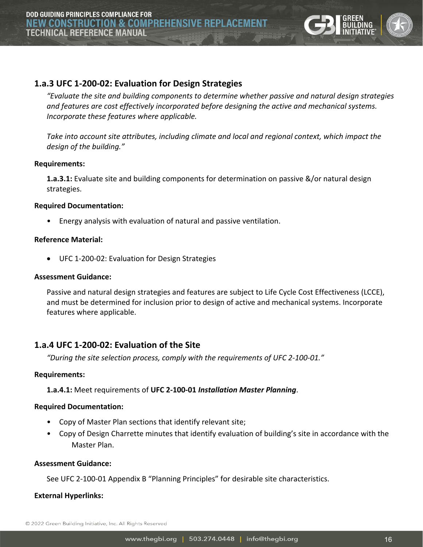

## <span id="page-15-0"></span>**1.a.3 UFC 1-200-02: Evaluation for Design Strategies**

*"Evaluate the site and building components to determine whether passive and natural design strategies and features are cost effectively incorporated before designing the active and mechanical systems. Incorporate these features where applicable.* 

*Take into account site attributes, including climate and local and regional context, which impact the design of the building."*

#### **Requirements:**

**1.a.3.1:** Evaluate site and building components for determination on passive &/or natural design strategies.

#### **Required Documentation:**

• Energy analysis with evaluation of natural and passive ventilation.

#### **Reference Material:**

• UFC 1-200-02: Evaluation for Design Strategies

#### **Assessment Guidance:**

Passive and natural design strategies and features are subject to Life Cycle Cost Effectiveness (LCCE), and must be determined for inclusion prior to design of active and mechanical systems. Incorporate features where applicable.

#### <span id="page-15-1"></span>**1.a.4 UFC 1-200-02: Evaluation of the Site**

*"During the site selection process, comply with the requirements of UFC 2-100-01."*

#### **Requirements:**

#### **1.a.4.1:** Meet requirements of **UFC 2-100-01** *Installation Master Planning*.

#### **Required Documentation:**

- Copy of Master Plan sections that identify relevant site;
- Copy of Design Charrette minutes that identify evaluation of building's site in accordance with the Master Plan.

#### **Assessment Guidance:**

See UFC 2-100-01 Appendix B "Planning Principles" for desirable site characteristics.

**External Hyperlinks:**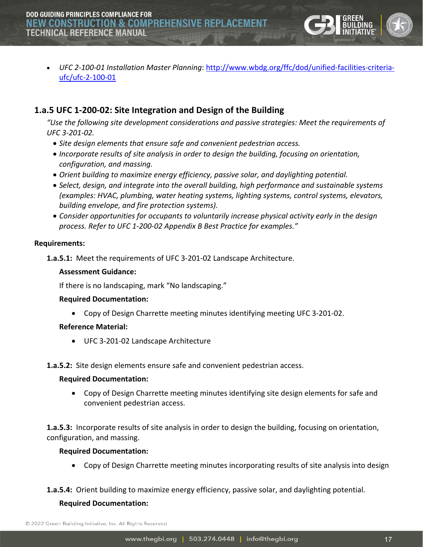

• *UFC 2-100-01 Installation Master Planning*: [http://www.wbdg.org/ffc/dod/unified-facilities-criteria](http://www.wbdg.org/ffc/dod/unified-facilities-criteria-ufc/ufc-2-100-01)[ufc/ufc-2-100-01](http://www.wbdg.org/ffc/dod/unified-facilities-criteria-ufc/ufc-2-100-01)

# <span id="page-16-0"></span>**1.a.5 UFC 1-200-02: Site Integration and Design of the Building**

*"Use the following site development considerations and passive strategies: Meet the requirements of UFC 3-201-02.*

- *Site design elements that ensure safe and convenient pedestrian access.*
- *Incorporate results of site analysis in order to design the building, focusing on orientation, configuration, and massing.*
- *Orient building to maximize energy efficiency, passive solar, and daylighting potential.*
- *Select, design, and integrate into the overall building, high performance and sustainable systems (examples: HVAC, plumbing, water heating systems, lighting systems, control systems, elevators, building envelope, and fire protection systems).*
- *Consider opportunities for occupants to voluntarily increase physical activity early in the design process. Refer to UFC 1-200-02 Appendix B Best Practice for examples."*

#### **Requirements:**

**1.a.5.1:** Meet the requirements of UFC 3-201-02 Landscape Architecture.

#### **Assessment Guidance:**

If there is no landscaping, mark "No landscaping."

#### **Required Documentation:**

• Copy of Design Charrette meeting minutes identifying meeting UFC 3-201-02.

#### **Reference Material:**

• UFC 3-201-02 Landscape Architecture

**1.a.5.2:** Site design elements ensure safe and convenient pedestrian access.

#### **Required Documentation:**

• Copy of Design Charrette meeting minutes identifying site design elements for safe and convenient pedestrian access.

**1.a.5.3:** Incorporate results of site analysis in order to design the building, focusing on orientation, configuration, and massing.

#### **Required Documentation:**

• Copy of Design Charrette meeting minutes incorporating results of site analysis into design

**1.a.5.4:** Orient building to maximize energy efficiency, passive solar, and daylighting potential.

#### **Required Documentation:**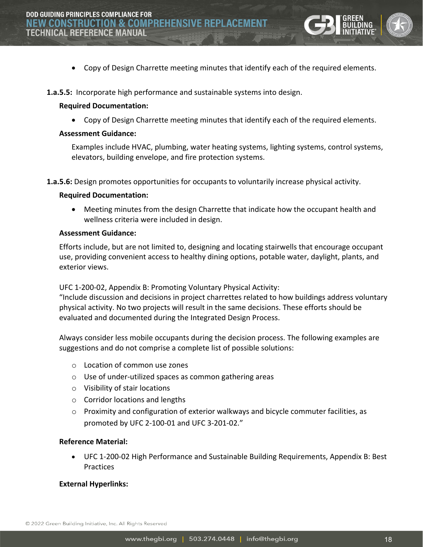

• Copy of Design Charrette meeting minutes that identify each of the required elements.

**1.a.5.5:** Incorporate high performance and sustainable systems into design.

#### **Required Documentation:**

• Copy of Design Charrette meeting minutes that identify each of the required elements.

#### **Assessment Guidance:**

Examples include HVAC, plumbing, water heating systems, lighting systems, control systems, elevators, building envelope, and fire protection systems.

**1.a.5.6:** Design promotes opportunities for occupants to voluntarily increase physical activity.

#### **Required Documentation:**

• Meeting minutes from the design Charrette that indicate how the occupant health and wellness criteria were included in design.

#### **Assessment Guidance:**

Efforts include, but are not limited to, designing and locating stairwells that encourage occupant use, providing convenient access to healthy dining options, potable water, daylight, plants, and exterior views.

UFC 1-200-02, Appendix B: Promoting Voluntary Physical Activity:

"Include discussion and decisions in project charrettes related to how buildings address voluntary physical activity. No two projects will result in the same decisions. These efforts should be evaluated and documented during the Integrated Design Process.

Always consider less mobile occupants during the decision process. The following examples are suggestions and do not comprise a complete list of possible solutions:

- o Location of common use zones
- o Use of under-utilized spaces as common gathering areas
- o Visibility of stair locations
- o Corridor locations and lengths
- $\circ$  Proximity and configuration of exterior walkways and bicycle commuter facilities, as promoted by UFC 2-100-01 and UFC 3-201-02."

#### **Reference Material:**

• UFC 1-200-02 High Performance and Sustainable Building Requirements, Appendix B: Best Practices

#### **External Hyperlinks:**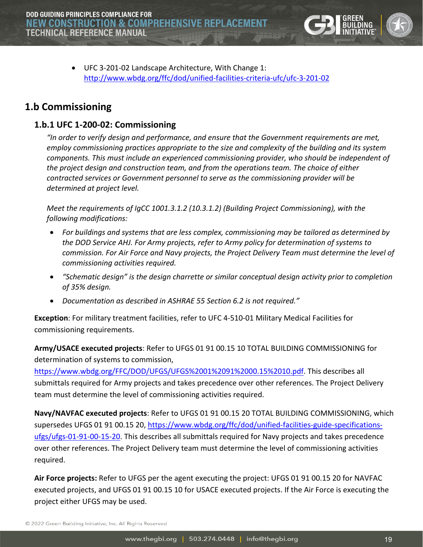

• UFC 3-201-02 Landscape Architecture, With Change 1: <http://www.wbdg.org/ffc/dod/unified-facilities-criteria-ufc/ufc-3-201-02>

# <span id="page-18-0"></span>**1.b Commissioning**

## <span id="page-18-1"></span>**1.b.1 UFC 1-200-02: Commissioning**

*"In order to verify design and performance, and ensure that the Government requirements are met, employ commissioning practices appropriate to the size and complexity of the building and its system components. This must include an experienced commissioning provider, who should be independent of the project design and construction team, and from the operations team. The choice of either contracted services or Government personnel to serve as the commissioning provider will be determined at project level.*

*Meet the requirements of IgCC 1001.3.1.2 (10.3.1.2) (Building Project Commissioning), with the following modifications:*

- *For buildings and systems that are less complex, commissioning may be tailored as determined by the DOD Service AHJ. For Army projects, refer to Army policy for determination of systems to commission. For Air Force and Navy projects, the Project Delivery Team must determine the level of commissioning activities required.*
- *"Schematic design" is the design charrette or similar conceptual design activity prior to completion of 35% design.*
- *Documentation as described in ASHRAE 55 Section 6.2 is not required."*

**Exception**: For military treatment facilities, refer to UFC 4-510-01 Military Medical Facilities for commissioning requirements.

**Army/USACE executed projects**: Refer to UFGS 01 91 00.15 10 TOTAL BUILDING COMMISSIONING for determination of systems to commission,

[https://www.wbdg.org/FFC/DOD/UFGS/UFGS%2001%2091%2000.15%2010.pdf.](https://www.wbdg.org/FFC/DOD/UFGS/UFGS%2001%2091%2000.15%2010.pdf) This describes all submittals required for Army projects and takes precedence over other references. The Project Delivery team must determine the level of commissioning activities required.

**Navy/NAVFAC executed projects**: Refer to UFGS 01 91 00.15 20 TOTAL BUILDING COMMISSIONING, which supersedes UFGS 01 91 00.15 20, [https://www.wbdg.org/ffc/dod/unified-facilities-guide-specifications](https://www.wbdg.org/ffc/dod/unified-facilities-guide-specifications-ufgs/ufgs-01-91-00-15-20)[ufgs/ufgs-01-91-00-15-20.](https://www.wbdg.org/ffc/dod/unified-facilities-guide-specifications-ufgs/ufgs-01-91-00-15-20) This describes all submittals required for Navy projects and takes precedence over other references. The Project Delivery team must determine the level of commissioning activities required.

**Air Force projects:** Refer to UFGS per the agent executing the project: UFGS 01 91 00.15 20 for NAVFAC executed projects, and UFGS 01 91 00.15 10 for USACE executed projects. If the Air Force is executing the project either UFGS may be used.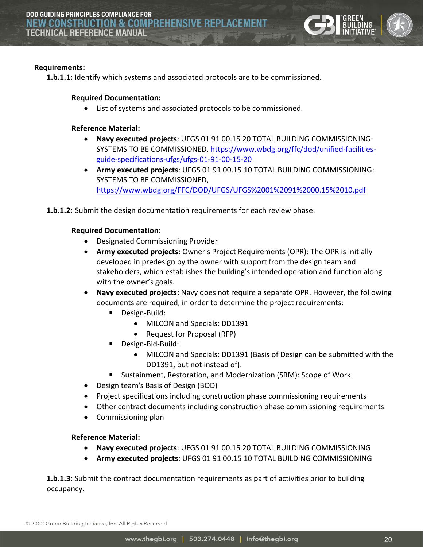

#### **Requirements:**

**1.b.1.1:** Identify which systems and associated protocols are to be commissioned.

#### **Required Documentation:**

• List of systems and associated protocols to be commissioned.

#### **Reference Material:**

- **Navy executed projects**: UFGS 01 91 00.15 20 TOTAL BUILDING COMMISSIONING: SYSTEMS TO BE COMMISSIONED, [https://www.wbdg.org/ffc/dod/unified-facilities](https://www.wbdg.org/ffc/dod/unified-facilities-guide-specifications-ufgs/ufgs-01-91-00-15-20)[guide-specifications-ufgs/ufgs-01-91-00-15-20](https://www.wbdg.org/ffc/dod/unified-facilities-guide-specifications-ufgs/ufgs-01-91-00-15-20)
- **Army executed projects**: UFGS 01 91 00.15 10 TOTAL BUILDING COMMISSIONING: SYSTEMS TO BE COMMISSIONED, <https://www.wbdg.org/FFC/DOD/UFGS/UFGS%2001%2091%2000.15%2010.pdf>
- **1.b.1.2:** Submit the design documentation requirements for each review phase.

#### **Required Documentation:**

- Designated Commissioning Provider
- **Army executed projects:** Owner's Project Requirements (OPR): The OPR is initially developed in predesign by the owner with support from the design team and stakeholders, which establishes the building's intended operation and function along with the owner's goals.
- **Navy executed projects:** Navy does not require a separate OPR. However, the following documents are required, in order to determine the project requirements:
	- **Design-Build:** 
		- MILCON and Specials: DD1391
		- Request for Proposal (RFP)
	- **Design-Bid-Build:** 
		- MILCON and Specials: DD1391 (Basis of Design can be submitted with the DD1391, but not instead of).
	- Sustainment, Restoration, and Modernization (SRM): Scope of Work
- Design team's Basis of Design (BOD)
- Project specifications including construction phase commissioning requirements
- Other contract documents including construction phase commissioning requirements
- Commissioning plan

#### **Reference Material:**

- **Navy executed projects**: UFGS 01 91 00.15 20 TOTAL BUILDING COMMISSIONING
- **Army executed projects**: UFGS 01 91 00.15 10 TOTAL BUILDING COMMISSIONING

**1.b.1.3**: Submit the contract documentation requirements as part of activities prior to building occupancy.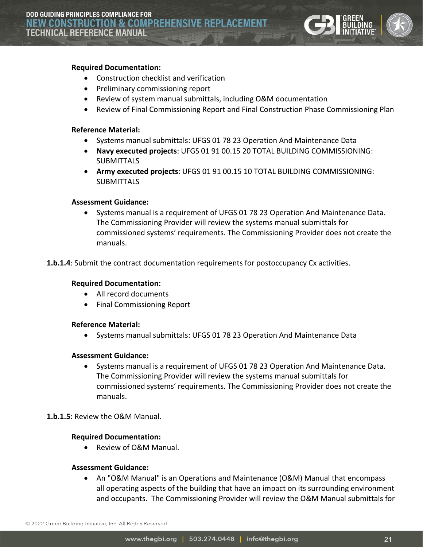

#### **Required Documentation:**

- Construction checklist and verification
- Preliminary commissioning report
- Review of system manual submittals, including O&M documentation
- Review of Final Commissioning Report and Final Construction Phase Commissioning Plan

#### **Reference Material:**

- Systems manual submittals: UFGS 01 78 23 Operation And Maintenance Data
- **Navy executed projects**: UFGS 01 91 00.15 20 TOTAL BUILDING COMMISSIONING: SUBMITTALS
- **Army executed projects**: UFGS 01 91 00.15 10 TOTAL BUILDING COMMISSIONING: **SUBMITTALS**

#### **Assessment Guidance:**

• Systems manual is a requirement of UFGS 01 78 23 Operation And Maintenance Data. The Commissioning Provider will review the systems manual submittals for commissioned systems' requirements. The Commissioning Provider does not create the manuals.

**1.b.1.4**: Submit the contract documentation requirements for postoccupancy Cx activities.

#### **Required Documentation:**

- All record documents
- Final Commissioning Report

#### **Reference Material:**

• Systems manual submittals: UFGS 01 78 23 Operation And Maintenance Data

#### **Assessment Guidance:**

• Systems manual is a requirement of UFGS 01 78 23 Operation And Maintenance Data. The Commissioning Provider will review the systems manual submittals for commissioned systems' requirements. The Commissioning Provider does not create the manuals.

#### **1.b.1.5**: Review the O&M Manual.

#### **Required Documentation:**

• Review of O&M Manual.

#### **Assessment Guidance:**

• An "O&M Manual" is an Operations and Maintenance (O&M) Manual that encompass all operating aspects of the building that have an impact on its surrounding environment and occupants. The Commissioning Provider will review the O&M Manual submittals for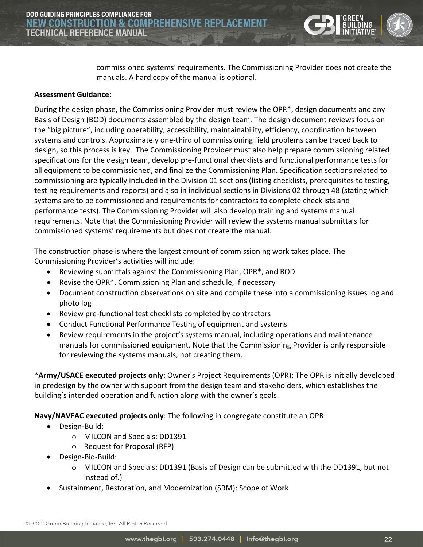

commissioned systems' requirements. The Commissioning Provider does not create the manuals. A hard copy of the manual is optional.

#### **Assessment Guidance:**

During the design phase, the Commissioning Provider must review the OPR\*, design documents and any Basis of Design (BOD) documents assembled by the design team. The design document reviews focus on the "big picture", including operability, accessibility, maintainability, efficiency, coordination between systems and controls. Approximately one-third of commissioning field problems can be traced back to design, so this process is key. The Commissioning Provider must also help prepare commissioning related specifications for the design team, develop pre-functional checklists and functional performance tests for all equipment to be commissioned, and finalize the Commissioning Plan. Specification sections related to commissioning are typically included in the Division 01 sections (listing checklists, prerequisites to testing, testing requirements and reports) and also in individual sections in Divisions 02 through 48 (stating which systems are to be commissioned and requirements for contractors to complete checklists and performance tests). The Commissioning Provider will also develop training and systems manual requirements. Note that the Commissioning Provider will review the systems manual submittals for commissioned systems' requirements but does not create the manual.

The construction phase is where the largest amount of commissioning work takes place. The Commissioning Provider's activities will include:

- Reviewing submittals against the Commissioning Plan, OPR\*, and BOD
- Revise the OPR\*, Commissioning Plan and schedule, if necessary
- Document construction observations on site and compile these into a commissioning issues log and photo log
- Review pre-functional test checklists completed by contractors
- Conduct Functional Performance Testing of equipment and systems
- Review requirements in the project's systems manual, including operations and maintenance manuals for commissioned equipment. Note that the Commissioning Provider is only responsible for reviewing the systems manuals, not creating them.

\***Army/USACE executed projects only**: Owner's Project Requirements (OPR): The OPR is initially developed in predesign by the owner with support from the design team and stakeholders, which establishes the building's intended operation and function along with the owner's goals.

**Navy/NAVFAC executed projects only**: The following in congregate constitute an OPR:

- Design-Build:
	- o MILCON and Specials: DD1391
	- o Request for Proposal (RFP)
- Design-Bid-Build:
	- o MILCON and Specials: DD1391 (Basis of Design can be submitted with the DD1391, but not instead of.)
- Sustainment, Restoration, and Modernization (SRM): Scope of Work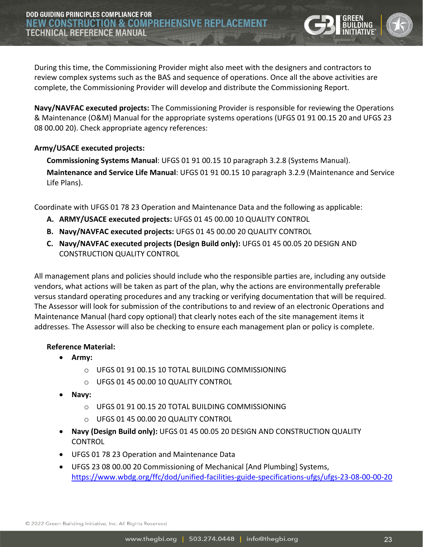During this time, the Commissioning Provider might also meet with the designers and contractors to review complex systems such as the BAS and sequence of operations. Once all the above activities are complete, the Commissioning Provider will develop and distribute the Commissioning Report.

**Navy/NAVFAC executed projects:** The Commissioning Provider is responsible for reviewing the Operations & Maintenance (O&M) Manual for the appropriate systems operations (UFGS 01 91 00.15 20 and UFGS 23 08 00.00 20). Check appropriate agency references:

#### **Army/USACE executed projects:**

**Commissioning Systems Manual**: UFGS 01 91 00.15 10 paragraph 3.2.8 (Systems Manual). **Maintenance and Service Life Manual**: UFGS 01 91 00.15 10 paragraph 3.2.9 (Maintenance and Service Life Plans).

Coordinate with UFGS 01 78 23 Operation and Maintenance Data and the following as applicable:

- **A. ARMY/USACE executed projects:** UFGS 01 45 00.00 10 QUALITY CONTROL
- **B. Navy/NAVFAC executed projects:** UFGS 01 45 00.00 20 QUALITY CONTROL
- **C. Navy/NAVFAC executed projects (Design Build only):** UFGS 01 45 00.05 20 DESIGN AND CONSTRUCTION QUALITY CONTROL

All management plans and policies should include who the responsible parties are, including any outside vendors, what actions will be taken as part of the plan, why the actions are environmentally preferable versus standard operating procedures and any tracking or verifying documentation that will be required. The Assessor will look for submission of the contributions to and review of an electronic Operations and Maintenance Manual (hard copy optional) that clearly notes each of the site management items it addresses. The Assessor will also be checking to ensure each management plan or policy is complete.

#### **Reference Material:**

- **Army:** 
	- o UFGS 01 91 00.15 10 TOTAL BUILDING COMMISSIONING
	- o UFGS 01 45 00.00 10 QUALITY CONTROL
- **Navy:** 
	- o UFGS 01 91 00.15 20 TOTAL BUILDING COMMISSIONING
	- o UFGS 01 45 00.00 20 QUALITY CONTROL
- **Navy (Design Build only):** UFGS 01 45 00.05 20 DESIGN AND CONSTRUCTION QUALITY **CONTROL**
- UFGS 01 78 23 Operation and Maintenance Data
- UFGS 23 08 00.00 20 Commissioning of Mechanical [And Plumbing] Systems, <https://www.wbdg.org/ffc/dod/unified-facilities-guide-specifications-ufgs/ufgs-23-08-00-00-20>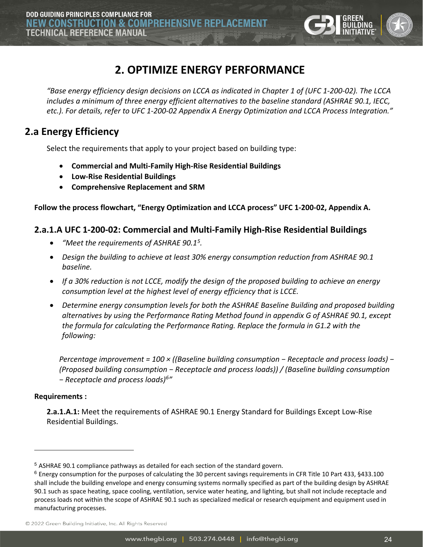

# **2. OPTIMIZE ENERGY PERFORMANCE**

<span id="page-23-0"></span>*"Base energy efficiency design decisions on LCCA as indicated in Chapter 1 of (UFC 1-200-02). The LCCA includes a minimum of three energy efficient alternatives to the baseline standard (ASHRAE 90.1, IECC, etc.). For details, refer to UFC 1-200-02 Appendix A Energy Optimization and LCCA Process Integration."* 

# <span id="page-23-1"></span>**2.a Energy Efficiency**

Select the requirements that apply to your project based on building type:

- **Commercial and Multi-Family High-Rise Residential Buildings**
- **Low-Rise Residential Buildings**
- **Comprehensive Replacement and SRM**

**Follow the process flowchart, "Energy Optimization and LCCA process" UFC 1-200-02, Appendix A.**

# <span id="page-23-2"></span>**2.a.1.A UFC 1-200-02: Commercial and Multi-Family High-Rise Residential Buildings**

- *"Meet the requirements of ASHRAE 90.1[5.](#page-23-3)*
- *Design the building to achieve at least 30% energy consumption reduction from ASHRAE 90.1 baseline.*
- *If a 30% reduction is not LCCE, modify the design of the proposed building to achieve an energy consumption level at the highest level of energy efficiency that is LCCE.*
- *Determine energy consumption levels for both the ASHRAE Baseline Building and proposed building alternatives by using the Performance Rating Method found in appendix G of ASHRAE 90.1, except the formula for calculating the Performance Rating. Replace the formula in G1.2 with the following:*

*Percentage improvement = 100 × ((Baseline building consumption − Receptacle and process loads) − (Proposed building consumption − Receptacle and process loads)) / (Baseline building consumption − Receptacle and process loads)[6](#page-23-4) "*

#### **Requirements :**

**2.a.1.A.1:** Meet the requirements of ASHRAE 90.1 Energy Standard for Buildings Except Low-Rise Residential Buildings.

© 2022 Green Building Initiative, Inc. All Rights Reserved

<span id="page-23-3"></span><sup>5</sup> ASHRAE 90.1 compliance pathways as detailed for each section of the standard govern.

<span id="page-23-4"></span><sup>6</sup> Energy consumption for the purposes of calculating the 30 percent savings requirements in CFR Title 10 Part 433, §433.100 shall include the building envelope and energy consuming systems normally specified as part of the building design by ASHRAE 90.1 such as space heating, space cooling, ventilation, service water heating, and lighting, but shall not include receptacle and process loads not within the scope of ASHRAE 90.1 such as specialized medical or research equipment and equipment used in manufacturing processes.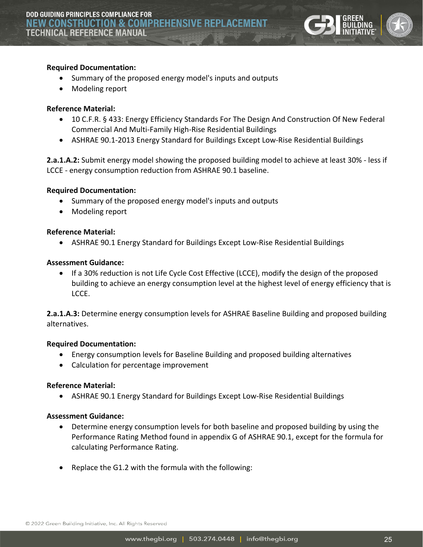

#### **Required Documentation:**

- Summary of the proposed energy model's inputs and outputs
- Modeling report

#### **Reference Material:**

- 10 C.F.R. § 433: Energy Efficiency Standards For The Design And Construction Of New Federal Commercial And Multi-Family High-Rise Residential Buildings
- ASHRAE 90.1-2013 Energy Standard for Buildings Except Low-Rise Residential Buildings

**2.a.1.A.2:** Submit energy model showing the proposed building model to achieve at least 30% - less if LCCE - energy consumption reduction from ASHRAE 90.1 baseline.

#### **Required Documentation:**

- Summary of the proposed energy model's inputs and outputs
- Modeling report

#### **Reference Material:**

• ASHRAE 90.1 Energy Standard for Buildings Except Low-Rise Residential Buildings

#### **Assessment Guidance:**

• If a 30% reduction is not Life Cycle Cost Effective (LCCE), modify the design of the proposed building to achieve an energy consumption level at the highest level of energy efficiency that is LCCE.

**2.a.1.A.3:** Determine energy consumption levels for ASHRAE Baseline Building and proposed building alternatives.

#### **Required Documentation:**

- Energy consumption levels for Baseline Building and proposed building alternatives
- Calculation for percentage improvement

#### **Reference Material:**

• ASHRAE 90.1 Energy Standard for Buildings Except Low-Rise Residential Buildings

#### **Assessment Guidance:**

- Determine energy consumption levels for both baseline and proposed building by using the Performance Rating Method found in appendix G of ASHRAE 90.1, except for the formula for calculating Performance Rating.
- Replace the G1.2 with the formula with the following: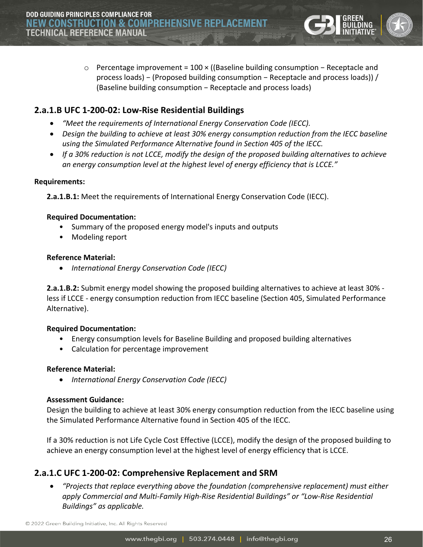o Percentage improvement = 100 × ((Baseline building consumption − Receptacle and process loads) − (Proposed building consumption − Receptacle and process loads)) / (Baseline building consumption − Receptacle and process loads)

# <span id="page-25-0"></span>**2.a.1.B UFC 1-200-02: Low-Rise Residential Buildings**

- *"Meet the requirements of International Energy Conservation Code (IECC).*
- *Design the building to achieve at least 30% energy consumption reduction from the IECC baseline using the Simulated Performance Alternative found in Section 405 of the IECC.*
- *If a 30% reduction is not LCCE, modify the design of the proposed building alternatives to achieve an energy consumption level at the highest level of energy efficiency that is LCCE."*

#### **Requirements:**

**2.a.1.B.1:** Meet the requirements of International Energy Conservation Code (IECC).

#### **Required Documentation:**

- Summary of the proposed energy model's inputs and outputs
- Modeling report

#### **Reference Material:**

• *International Energy Conservation Code (IECC)*

**2.a.1.B.2:** Submit energy model showing the proposed building alternatives to achieve at least 30% less if LCCE - energy consumption reduction from IECC baseline (Section 405, Simulated Performance Alternative).

#### **Required Documentation:**

- Energy consumption levels for Baseline Building and proposed building alternatives
- Calculation for percentage improvement

#### **Reference Material:**

• *International Energy Conservation Code (IECC)*

#### **Assessment Guidance:**

Design the building to achieve at least 30% energy consumption reduction from the IECC baseline using the Simulated Performance Alternative found in Section 405 of the IECC.

If a 30% reduction is not Life Cycle Cost Effective (LCCE), modify the design of the proposed building to achieve an energy consumption level at the highest level of energy efficiency that is LCCE.

# <span id="page-25-1"></span>**2.a.1.C UFC 1-200-02: Comprehensive Replacement and SRM**

• *"Projects that replace everything above the foundation (comprehensive replacement) must either apply Commercial and Multi-Family High-Rise Residential Buildings" or "Low-Rise Residential Buildings" as applicable.*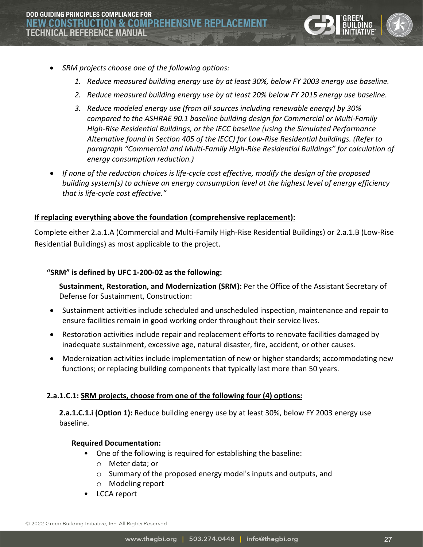

- *SRM projects choose one of the following options:*
	- *1. Reduce measured building energy use by at least 30%, below FY 2003 energy use baseline.*
	- *2. Reduce measured building energy use by at least 20% below FY 2015 energy use baseline.*
	- *3. Reduce modeled energy use (from all sources including renewable energy) by 30% compared to the ASHRAE 90.1 baseline building design for Commercial or Multi-Family High-Rise Residential Buildings, or the IECC baseline (using the Simulated Performance Alternative found in Section 405 of the IECC) for Low-Rise Residential buildings. (Refer to paragraph "Commercial and Multi-Family High-Rise Residential Buildings" for calculation of energy consumption reduction.)*
- *If none of the reduction choices is life-cycle cost effective, modify the design of the proposed building system(s) to achieve an energy consumption level at the highest level of energy efficiency that is life-cycle cost effective."*

#### **If replacing everything above the foundation (comprehensive replacement):**

Complete either 2.a.1.A (Commercial and Multi-Family High-Rise Residential Buildings) or 2.a.1.B (Low-Rise Residential Buildings) as most applicable to the project.

#### **"SRM" is defined by UFC 1-200-02 as the following:**

**Sustainment, Restoration, and Modernization (SRM):** Per the Office of the Assistant Secretary of Defense for Sustainment, Construction:

- Sustainment activities include scheduled and unscheduled inspection, maintenance and repair to ensure facilities remain in good working order throughout their service lives.
- Restoration activities include repair and replacement efforts to renovate facilities damaged by inadequate sustainment, excessive age, natural disaster, fire, accident, or other causes.
- Modernization activities include implementation of new or higher standards; accommodating new functions; or replacing building components that typically last more than 50 years.

#### **2.a.1.C.1: SRM projects, choose from one of the following four (4) options:**

**2.a.1.C.1.i (Option 1):** Reduce building energy use by at least 30%, below FY 2003 energy use baseline.

#### **Required Documentation:**

- One of the following is required for establishing the baseline:
	- o Meter data; or
	- o Summary of the proposed energy model's inputs and outputs, and
	- o Modeling report
- LCCA report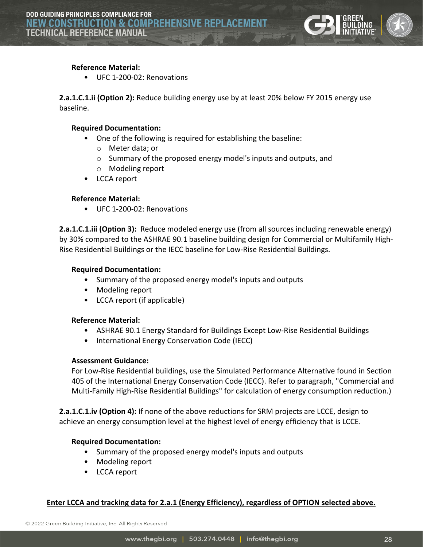

#### **Reference Material:**

• UFC 1-200-02: Renovations

**2.a.1.C.1.ii (Option 2):** Reduce building energy use by at least 20% below FY 2015 energy use baseline.

#### **Required Documentation:**

- One of the following is required for establishing the baseline:
	- o Meter data; or
	- o Summary of the proposed energy model's inputs and outputs, and
	- o Modeling report
- LCCA report

#### **Reference Material:**

• UFC 1-200-02: Renovations

**2.a.1.C.1.iii (Option 3):** Reduce modeled energy use (from all sources including renewable energy) by 30% compared to the ASHRAE 90.1 baseline building design for Commercial or Multifamily High-Rise Residential Buildings or the IECC baseline for Low-Rise Residential Buildings.

#### **Required Documentation:**

- Summary of the proposed energy model's inputs and outputs
- Modeling report
- LCCA report (if applicable)

#### **Reference Material:**

- ASHRAE 90.1 Energy Standard for Buildings Except Low-Rise Residential Buildings
- International Energy Conservation Code (IECC)

#### **Assessment Guidance:**

For Low-Rise Residential buildings, use the Simulated Performance Alternative found in Section 405 of the International Energy Conservation Code (IECC). Refer to paragraph, "Commercial and Multi-Family High-Rise Residential Buildings" for calculation of energy consumption reduction.)

**2.a.1.C.1.iv (Option 4):** If none of the above reductions for SRM projects are LCCE, design to achieve an energy consumption level at the highest level of energy efficiency that is LCCE.

#### **Required Documentation:**

- Summary of the proposed energy model's inputs and outputs
- Modeling report
- LCCA report

#### **Enter LCCA and tracking data for 2.a.1 (Energy Efficiency), regardless of OPTION selected above.**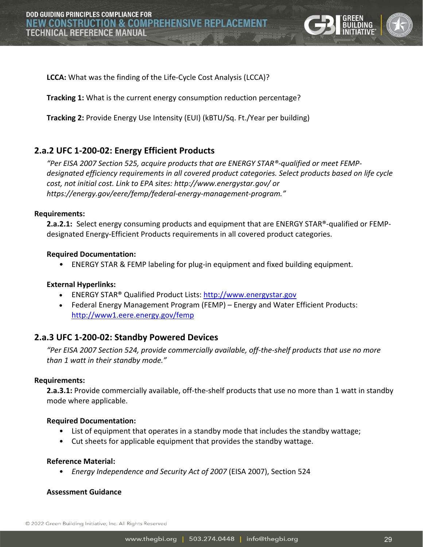

**LCCA:** What was the finding of the Life-Cycle Cost Analysis (LCCA)?

**Tracking 1:** What is the current energy consumption reduction percentage?

**Tracking 2:** Provide Energy Use Intensity (EUI) (kBTU/Sq. Ft./Year per building)

## <span id="page-28-0"></span>**2.a.2 UFC 1-200-02: Energy Efficient Products**

*"Per EISA 2007 Section 525, acquire products that are ENERGY STAR®-qualified or meet FEMPdesignated efficiency requirements in all covered product categories. Select products based on life cycle cost, not initial cost. Link to EPA sites: http://www.energystar.gov/ or https://energy.gov/eere/femp/federal-energy-management-program."* 

#### **Requirements:**

**2.a.2.1:** Select energy consuming products and equipment that are ENERGY STAR®-qualified or FEMPdesignated Energy-Efficient Products requirements in all covered product categories.

#### **Required Documentation:**

• ENERGY STAR & FEMP labeling for plug-in equipment and fixed building equipment.

#### **External Hyperlinks:**

- ENERGY STAR® Qualified Product Lists: [http://www.energystar.gov](http://www.energystar.gov/)
- Federal Energy Management Program (FEMP) Energy and Water Efficient Products: <http://www1.eere.energy.gov/femp>

#### <span id="page-28-1"></span>**2.a.3 UFC 1-200-02: Standby Powered Devices**

*"Per EISA 2007 Section 524, provide commercially available, off-the-shelf products that use no more than 1 watt in their standby mode."* 

#### **Requirements:**

**2.a.3.1:** Provide commercially available, off-the-shelf products that use no more than 1 watt in standby mode where applicable.

#### **Required Documentation:**

- List of equipment that operates in a standby mode that includes the standby wattage;
- Cut sheets for applicable equipment that provides the standby wattage.

#### **Reference Material:**

• *Energy Independence and Security Act of 2007* (EISA 2007), Section 524

#### **Assessment Guidance**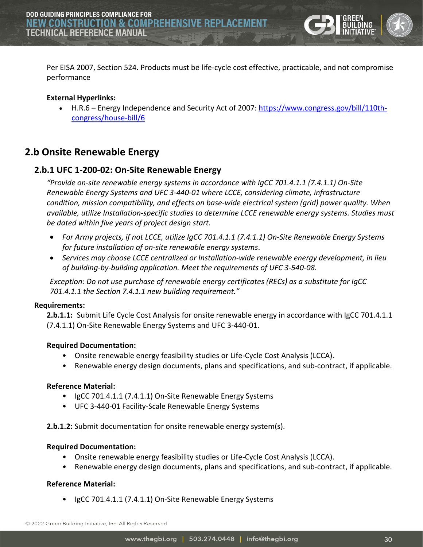

Per EISA 2007, Section 524. Products must be life-cycle cost effective, practicable, and not compromise performance

#### **External Hyperlinks:**

• H.R.6 – Energy Independence and Security Act of 2007: [https://www.congress.gov/bill/110th](https://www.congress.gov/bill/110th-congress/house-bill/6)[congress/house-bill/6](https://www.congress.gov/bill/110th-congress/house-bill/6)

# <span id="page-29-0"></span>**2.b Onsite Renewable Energy**

#### <span id="page-29-1"></span>**2.b.1 UFC 1-200-02: On-Site Renewable Energy**

*"Provide on-site renewable energy systems in accordance with IgCC 701.4.1.1 (7.4.1.1) On-Site Renewable Energy Systems and UFC 3-440-01 where LCCE, considering climate, infrastructure condition, mission compatibility, and effects on base-wide electrical system (grid) power quality. When available, utilize Installation-specific studies to determine LCCE renewable energy systems. Studies must be dated within five years of project design start.*

- *For Army projects, if not LCCE, utilize IgCC 701.4.1.1 (7.4.1.1) On-Site Renewable Energy Systems for future installation of on-site renewable energy systems*.
- *Services may choose LCCE centralized or Installation-wide renewable energy development, in lieu of building-by-building application. Meet the requirements of UFC 3-540-08.*

*Exception: Do not use purchase of renewable energy certificates (RECs) as a substitute for IgCC 701.4.1.1 the Section 7.4.1.1 new building requirement."*

#### **Requirements:**

**2.b.1.1:** Submit Life Cycle Cost Analysis for onsite renewable energy in accordance with IgCC 701.4.1.1 (7.4.1.1) On-Site Renewable Energy Systems and UFC 3-440-01.

#### **Required Documentation:**

- Onsite renewable energy feasibility studies or Life-Cycle Cost Analysis (LCCA).
- Renewable energy design documents, plans and specifications, and sub-contract, if applicable.

#### **Reference Material:**

- IgCC 701.4.1.1 (7.4.1.1) On-Site Renewable Energy Systems
- UFC 3-440-01 Facility-Scale Renewable Energy Systems

**2.b.1.2:** Submit documentation for onsite renewable energy system(s).

#### **Required Documentation:**

- Onsite renewable energy feasibility studies or Life-Cycle Cost Analysis (LCCA).
- Renewable energy design documents, plans and specifications, and sub-contract, if applicable.

#### **Reference Material:**

• IgCC 701.4.1.1 (7.4.1.1) On-Site Renewable Energy Systems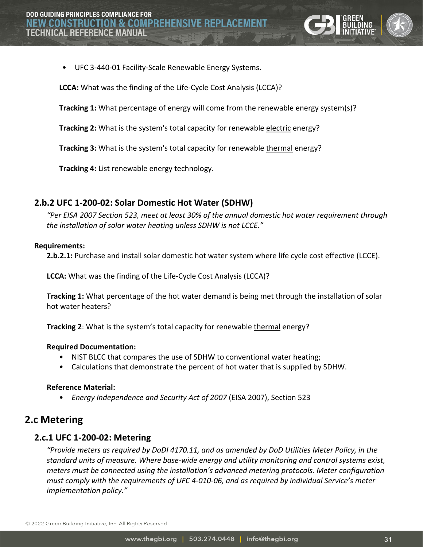

• UFC 3-440-01 Facility-Scale Renewable Energy Systems.

**LCCA:** What was the finding of the Life-Cycle Cost Analysis (LCCA)?

**Tracking 1:** What percentage of energy will come from the renewable energy system(s)?

**Tracking 2:** What is the system's total capacity for renewable electric energy?

**Tracking 3:** What is the system's total capacity for renewable thermal energy?

**Tracking 4:** List renewable energy technology.

## <span id="page-30-0"></span>**2.b.2 UFC 1-200-02: Solar Domestic Hot Water (SDHW)**

*"Per EISA 2007 Section 523, meet at least 30% of the annual domestic hot water requirement through the installation of solar water heating unless SDHW is not LCCE."* 

#### **Requirements:**

**2.b.2.1:** Purchase and install solar domestic hot water system where life cycle cost effective (LCCE).

**LCCA:** What was the finding of the Life-Cycle Cost Analysis (LCCA)?

**Tracking 1:** What percentage of the hot water demand is being met through the installation of solar hot water heaters?

**Tracking 2:** What is the system's total capacity for renewable *thermal* energy?

#### **Required Documentation:**

- NIST BLCC that compares the use of SDHW to conventional water heating;
- Calculations that demonstrate the percent of hot water that is supplied by SDHW.

#### **Reference Material:**

• *Energy Independence and Security Act of 2007* (EISA 2007), Section 523

# <span id="page-30-1"></span>**2.c Metering**

#### <span id="page-30-2"></span>**2.c.1 UFC 1-200-02: Metering**

*"Provide meters as required by DoDI 4170.11, and as amended by DoD Utilities Meter Policy, in the standard units of measure. Where base-wide energy and utility monitoring and control systems exist, meters must be connected using the installation's advanced metering protocols. Meter configuration must comply with the requirements of UFC 4-010-06, and as required by individual Service's meter implementation policy."*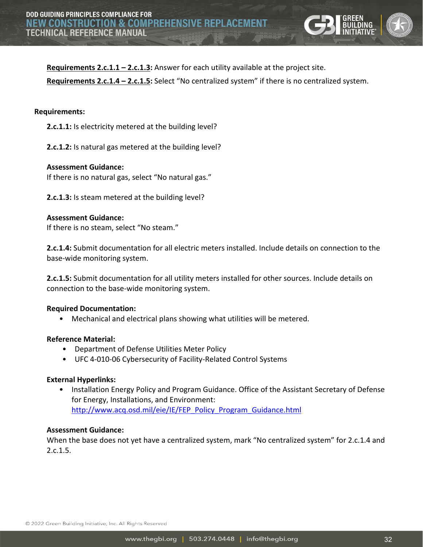

**Requirements 2.c.1.1 – 2.c.1.3:** Answer for each utility available at the project site.

**Requirements 2.c.1.4 – 2.c.1.5:** Select "No centralized system" if there is no centralized system.

#### **Requirements:**

**2.c.1.1:** Is electricity metered at the building level?

**2.c.1.2:** Is natural gas metered at the building level?

# **Assessment Guidance:**

If there is no natural gas, select "No natural gas."

**2.c.1.3:** Is steam metered at the building level?

#### **Assessment Guidance:**

If there is no steam, select "No steam."

**2.c.1.4:** Submit documentation for all electric meters installed. Include details on connection to the base-wide monitoring system.

**2.c.1.5:** Submit documentation for all utility meters installed for other sources. Include details on connection to the base-wide monitoring system.

#### **Required Documentation:**

• Mechanical and electrical plans showing what utilities will be metered.

#### **Reference Material:**

- Department of Defense Utilities Meter Policy
- UFC 4-010-06 Cybersecurity of Facility-Related Control Systems

#### **External Hyperlinks:**

• Installation Energy Policy and Program Guidance. Office of the Assistant Secretary of Defense for Energy, Installations, and Environment: [http://www.acq.osd.mil/eie/IE/FEP\\_Policy\\_Program\\_Guidance.html](http://www.acq.osd.mil/eie/IE/FEP_Policy_Program_Guidance.html)

#### **Assessment Guidance:**

When the base does not yet have a centralized system, mark "No centralized system" for 2.c.1.4 and  $2.c.1.5.$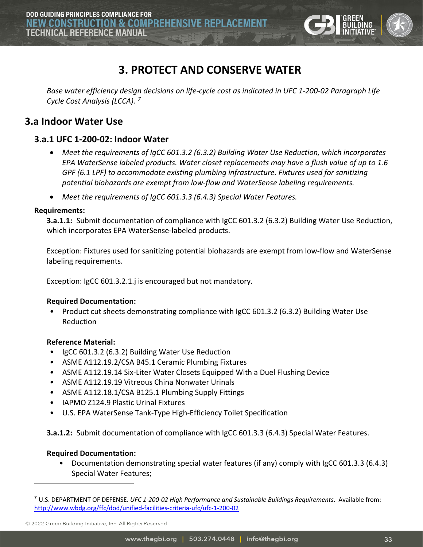

# **3. PROTECT AND CONSERVE WATER**

<span id="page-32-0"></span>*Base water efficiency design decisions on life-cycle cost as indicated in UFC 1-200-02 Paragraph Life Cycle Cost Analysis (LCCA). [7](#page-32-3)*

# <span id="page-32-1"></span>**3.a Indoor Water Use**

# <span id="page-32-2"></span>**3.a.1 UFC 1-200-02: Indoor Water**

- *Meet the requirements of IgCC 601.3.2 (6.3.2) Building Water Use Reduction, which incorporates EPA WaterSense labeled products. Water closet replacements may have a flush value of up to 1.6 GPF (6.1 LPF) to accommodate existing plumbing infrastructure. Fixtures used for sanitizing potential biohazards are exempt from low-flow and WaterSense labeling requirements.*
- *Meet the requirements of IgCC 601.3.3 (6.4.3) Special Water Features.*

#### **Requirements:**

**3.a.1.1:** Submit documentation of compliance with IgCC 601.3.2 (6.3.2) Building Water Use Reduction, which incorporates EPA WaterSense-labeled products.

Exception: Fixtures used for sanitizing potential biohazards are exempt from low-flow and WaterSense labeling requirements.

Exception: IgCC 601.3.2.1.j is encouraged but not mandatory.

#### **Required Documentation:**

• Product cut sheets demonstrating compliance with IgCC 601.3.2 (6.3.2) Building Water Use Reduction

#### **Reference Material:**

- IgCC 601.3.2 (6.3.2) Building Water Use Reduction
- ASME A112.19.2/CSA B45.1 Ceramic Plumbing Fixtures
- ASME A112.19.14 Six-Liter Water Closets Equipped With a Duel Flushing Device
- ASME A112.19.19 Vitreous China Nonwater Urinals
- ASME A112.18.1/CSA B125.1 Plumbing Supply Fittings
- IAPMO Z124.9 Plastic Urinal Fixtures
- U.S. EPA WaterSense Tank-Type High-Efficiency Toilet Specification

**3.a.1.2:** Submit documentation of compliance with IgCC 601.3.3 (6.4.3) Special Water Features.

#### **Required Documentation:**

• Documentation demonstrating special water features (if any) comply with IgCC 601.3.3 (6.4.3) Special Water Features;

© 2022 Green Building Initiative, Inc. All Rights Reserved

<span id="page-32-3"></span><sup>7</sup> U.S. DEPARTMENT OF DEFENSE. *UFC 1-200-02 High Performance and Sustainable Buildings Requirements*. Available from: <http://www.wbdg.org/ffc/dod/unified-facilities-criteria-ufc/ufc-1-200-02>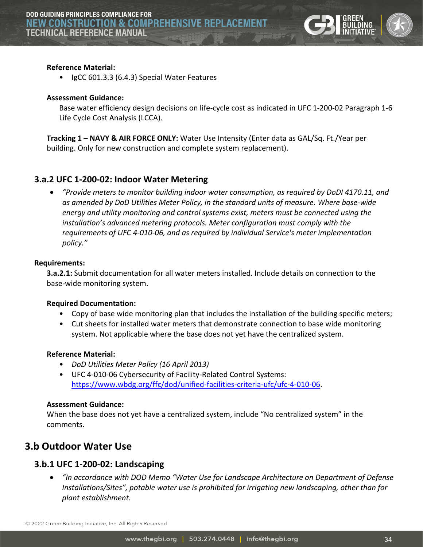

#### **Reference Material:**

• IgCC 601.3.3 (6.4.3) Special Water Features

#### **Assessment Guidance:**

Base water efficiency design decisions on life-cycle cost as indicated in UFC 1-200-02 Paragraph 1-6 Life Cycle Cost Analysis (LCCA).

**Tracking 1 – NAVY & AIR FORCE ONLY:** Water Use Intensity (Enter data as GAL/Sq. Ft./Year per building. Only for new construction and complete system replacement).

#### <span id="page-33-0"></span>**3.a.2 UFC 1-200-02: Indoor Water Metering**

• *"Provide meters to monitor building indoor water consumption, as required by DoDI 4170.11, and as amended by DoD Utilities Meter Policy, in the standard units of measure. Where base-wide energy and utility monitoring and control systems exist, meters must be connected using the installation's advanced metering protocols. Meter configuration must comply with the requirements of UFC 4-010-06, and as required by individual Service's meter implementation policy."*

#### **Requirements:**

**3.a.2.1:** Submit documentation for all water meters installed. Include details on connection to the base-wide monitoring system.

#### **Required Documentation:**

- Copy of base wide monitoring plan that includes the installation of the building specific meters;
- Cut sheets for installed water meters that demonstrate connection to base wide monitoring system. Not applicable where the base does not yet have the centralized system.

#### **Reference Material:**

- *DoD Utilities Meter Policy (16 April 2013)*
- UFC 4-010-06 Cybersecurity of Facility-Related Control Systems: [https://www.wbdg.org/ffc/dod/unified-facilities-criteria-ufc/ufc-4-010-06.](https://www.wbdg.org/ffc/dod/unified-facilities-criteria-ufc/ufc-4-010-06)

#### **Assessment Guidance:**

When the base does not yet have a centralized system, include "No centralized system" in the comments.

# <span id="page-33-1"></span>**3.b Outdoor Water Use**

#### <span id="page-33-2"></span>**3.b.1 UFC 1-200-02: Landscaping**

• *"In accordance with DOD Memo "Water Use for Landscape Architecture on Department of Defense Installations/Sites", potable water use is prohibited for irrigating new landscaping, other than for plant establishment.*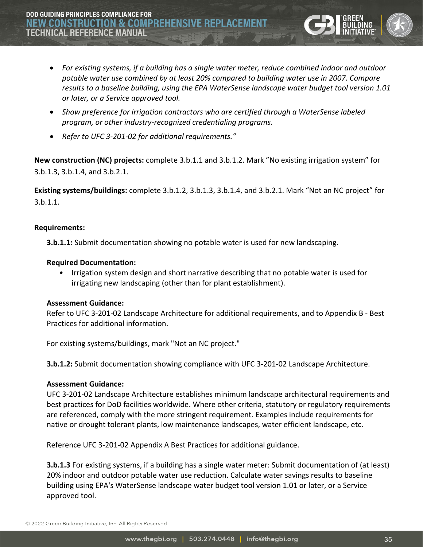**DOD GUIDING PRINCIPLES COMPLIANCE FOR NEW CONSTRUCTION & COMPREHENSIV TECHNICAL REFERENCE MANUAL** 

- *For existing systems, if a building has a single water meter, reduce combined indoor and outdoor potable water use combined by at least 20% compared to building water use in 2007. Compare results to a baseline building, using the EPA WaterSense landscape water budget tool version 1.01 or later, or a Service approved tool.*
- *Show preference for irrigation contractors who are certified through a WaterSense labeled program, or other industry-recognized credentialing programs.*
- *Refer to UFC 3-201-02 for additional requirements."*

**New construction (NC) projects:** complete 3.b.1.1 and 3.b.1.2. Mark "No existing irrigation system" for 3.b.1.3, 3.b.1.4, and 3.b.2.1.

**Existing systems/buildings:** complete 3.b.1.2, 3.b.1.3, 3.b.1.4, and 3.b.2.1. Mark "Not an NC project" for 3.b.1.1.

#### **Requirements:**

**3.b.1.1:** Submit documentation showing no potable water is used for new landscaping.

#### **Required Documentation:**

• Irrigation system design and short narrative describing that no potable water is used for irrigating new landscaping (other than for plant establishment).

#### **Assessment Guidance:**

Refer to UFC 3-201-02 Landscape Architecture for additional requirements, and to Appendix B - Best Practices for additional information.

For existing systems/buildings, mark "Not an NC project."

**3.b.1.2:** Submit documentation showing compliance with UFC 3-201-02 Landscape Architecture.

#### **Assessment Guidance:**

UFC 3-201-02 Landscape Architecture establishes minimum landscape architectural requirements and best practices for DoD facilities worldwide. Where other criteria, statutory or regulatory requirements are referenced, comply with the more stringent requirement. Examples include requirements for native or drought tolerant plants, low maintenance landscapes, water efficient landscape, etc.

Reference UFC 3-201-02 Appendix A Best Practices for additional guidance.

**3.b.1.3** For existing systems, if a building has a single water meter: Submit documentation of (at least) 20% indoor and outdoor potable water use reduction. Calculate water savings results to baseline building using EPA's WaterSense landscape water budget tool version 1.01 or later, or a Service approved tool.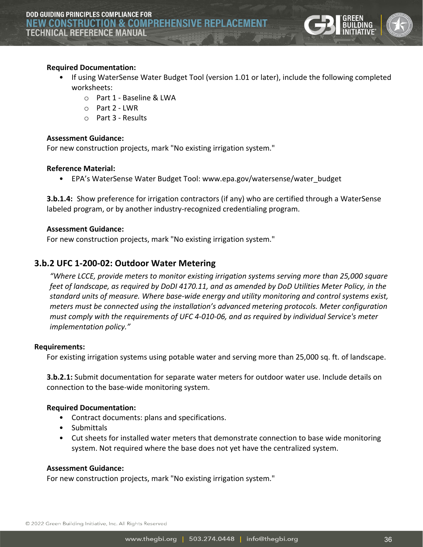

#### **Required Documentation:**

- If using WaterSense Water Budget Tool (version 1.01 or later), include the following completed worksheets:
	- o Part 1 Baseline & LWA
	- $O$  Part 2 LWR
	- o Part 3 Results

#### **Assessment Guidance:**

For new construction projects, mark "No existing irrigation system."

#### **Reference Material:**

• EPA's WaterSense Water Budget Tool: www.epa.gov/watersense/water budget

**3.b.1.4:** Show preference for irrigation contractors (if any) who are certified through a WaterSense labeled program, or by another industry-recognized credentialing program.

#### **Assessment Guidance:**

For new construction projects, mark "No existing irrigation system."

## <span id="page-35-0"></span>**3.b.2 UFC 1-200-02: Outdoor Water Metering**

*"Where LCCE, provide meters to monitor existing irrigation systems serving more than 25,000 square feet of landscape, as required by DoDI 4170.11, and as amended by DoD Utilities Meter Policy, in the standard units of measure. Where base-wide energy and utility monitoring and control systems exist, meters must be connected using the installation's advanced metering protocols. Meter configuration must comply with the requirements of UFC 4-010-06, and as required by individual Service's meter implementation policy."*

#### **Requirements:**

For existing irrigation systems using potable water and serving more than 25,000 sq. ft. of landscape.

**3.b.2.1:** Submit documentation for separate water meters for outdoor water use. Include details on connection to the base-wide monitoring system.

#### **Required Documentation:**

- Contract documents: plans and specifications.
- Submittals
- Cut sheets for installed water meters that demonstrate connection to base wide monitoring system. Not required where the base does not yet have the centralized system.

#### **Assessment Guidance:**

For new construction projects, mark "No existing irrigation system."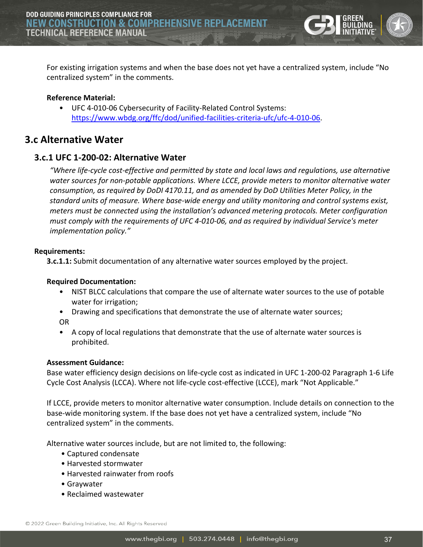

For existing irrigation systems and when the base does not yet have a centralized system, include "No centralized system" in the comments.

#### **Reference Material:**

• UFC 4-010-06 Cybersecurity of Facility-Related Control Systems: [https://www.wbdg.org/ffc/dod/unified-facilities-criteria-ufc/ufc-4-010-06.](https://www.wbdg.org/ffc/dod/unified-facilities-criteria-ufc/ufc-4-010-06)

# <span id="page-36-0"></span>**3.c Alternative Water**

#### <span id="page-36-1"></span>**3.c.1 UFC 1-200-02: Alternative Water**

*"Where life-cycle cost-effective and permitted by state and local laws and regulations, use alternative water sources for non-potable applications. Where LCCE, provide meters to monitor alternative water consumption, as required by DoDI 4170.11, and as amended by DoD Utilities Meter Policy, in the standard units of measure. Where base-wide energy and utility monitoring and control systems exist, meters must be connected using the installation's advanced metering protocols. Meter configuration must comply with the requirements of UFC 4-010-06, and as required by individual Service's meter implementation policy."*

#### **Requirements:**

**3.c.1.1:** Submit documentation of any alternative water sources employed by the project.

#### **Required Documentation:**

- NIST BLCC calculations that compare the use of alternate water sources to the use of potable water for irrigation;
- Drawing and specifications that demonstrate the use of alternate water sources; OR
- A copy of local regulations that demonstrate that the use of alternate water sources is prohibited.

#### **Assessment Guidance:**

Base water efficiency design decisions on life-cycle cost as indicated in UFC 1-200-02 Paragraph 1-6 Life Cycle Cost Analysis (LCCA). Where not life-cycle cost-effective (LCCE), mark "Not Applicable."

If LCCE, provide meters to monitor alternative water consumption. Include details on connection to the base-wide monitoring system. If the base does not yet have a centralized system, include "No centralized system" in the comments.

Alternative water sources include, but are not limited to, the following:

- Captured condensate
- Harvested stormwater
- Harvested rainwater from roofs
- Graywater
- Reclaimed wastewater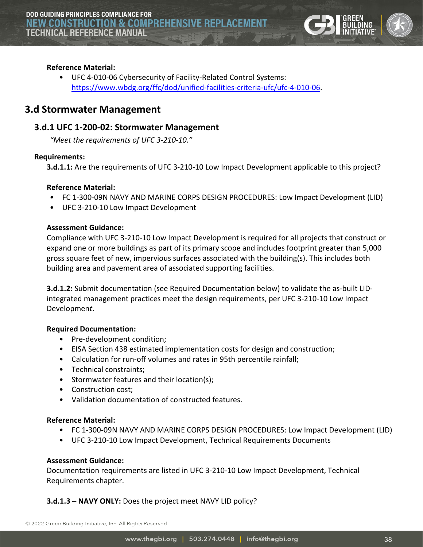

#### **Reference Material:**

• UFC 4-010-06 Cybersecurity of Facility-Related Control Systems: [https://www.wbdg.org/ffc/dod/unified-facilities-criteria-ufc/ufc-4-010-06.](https://www.wbdg.org/ffc/dod/unified-facilities-criteria-ufc/ufc-4-010-06)

# <span id="page-37-0"></span>**3.d Stormwater Management**

#### <span id="page-37-1"></span>**3.d.1 UFC 1-200-02: Stormwater Management**

*"Meet the requirements of UFC 3-210-10."*

#### **Requirements:**

**3.d.1.1:** Are the requirements of UFC 3-210-10 Low Impact Development applicable to this project?

#### **Reference Material:**

- FC 1-300-09N NAVY AND MARINE CORPS DESIGN PROCEDURES: Low Impact Development (LID)
- UFC 3-210-10 Low Impact Development

#### **Assessment Guidance:**

Compliance with UFC 3-210-10 Low Impact Development is required for all projects that construct or expand one or more buildings as part of its primary scope and includes footprint greater than 5,000 gross square feet of new, impervious surfaces associated with the building(s). This includes both building area and pavement area of associated supporting facilities.

**3.d.1.2:** Submit documentation (see Required Documentation below) to validate the as-built LIDintegrated management practices meet the design requirements, per UFC 3-210-10 Low Impact Developmen*t*.

#### **Required Documentation:**

- Pre-development condition;
- EISA Section 438 estimated implementation costs for design and construction;
- Calculation for run-off volumes and rates in 95th percentile rainfall;
- Technical constraints;
- Stormwater features and their location(s);
- Construction cost;
- Validation documentation of constructed features.

#### **Reference Material:**

- FC 1-300-09N NAVY AND MARINE CORPS DESIGN PROCEDURES: Low Impact Development (LID)
- UFC 3-210-10 Low Impact Development, Technical Requirements Documents

#### **Assessment Guidance:**

Documentation requirements are listed in UFC 3-210-10 Low Impact Development, Technical Requirements chapter.

#### **3.d.1.3 – NAVY ONLY:** Does the project meet NAVY LID policy?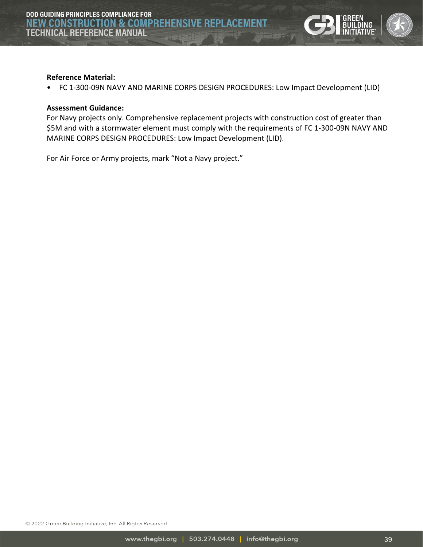

#### **Reference Material:**

• FC 1-300-09N NAVY AND MARINE CORPS DESIGN PROCEDURES: Low Impact Development (LID)

#### **Assessment Guidance:**

For Navy projects only. Comprehensive replacement projects with construction cost of greater than \$5M and with a stormwater element must comply with the requirements of FC 1-300-09N NAVY AND MARINE CORPS DESIGN PROCEDURES: Low Impact Development (LID).

<span id="page-38-0"></span>For Air Force or Army projects, mark "Not a Navy project."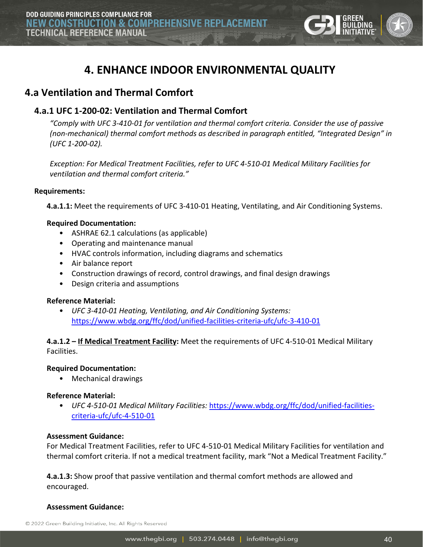

# **4. ENHANCE INDOOR ENVIRONMENTAL QUALITY**

# <span id="page-39-0"></span>**4.a Ventilation and Thermal Comfort**

# <span id="page-39-1"></span>**4.a.1 UFC 1-200-02: Ventilation and Thermal Comfort**

*"Comply with UFC 3-410-01 for ventilation and thermal comfort criteria. Consider the use of passive (non-mechanical) thermal comfort methods as described in paragraph entitled, "Integrated Design" in (UFC 1-200-02).*

*Exception: For Medical Treatment Facilities, refer to UFC 4-510-01 Medical Military Facilities for ventilation and thermal comfort criteria."*

#### **Requirements:**

**4.a.1.1:** Meet the requirements of UFC 3-410-01 Heating, Ventilating, and Air Conditioning Systems.

#### **Required Documentation:**

- ASHRAE 62.1 calculations (as applicable)
- Operating and maintenance manual
- HVAC controls information, including diagrams and schematics
- Air balance report
- Construction drawings of record, control drawings, and final design drawings
- Design criteria and assumptions

#### **Reference Material:**

• *UFC 3-410-01 Heating, Ventilating, and Air Conditioning Systems:*  <https://www.wbdg.org/ffc/dod/unified-facilities-criteria-ufc/ufc-3-410-01>

#### **4.a.1.2 – If Medical Treatment Facility:** Meet the requirements of UFC 4-510-01 Medical Military Facilities.

#### **Required Documentation:**

• Mechanical drawings

#### **Reference Material:**

• *UFC 4-510-01 Medical Military Facilities:* [https://www.wbdg.org/ffc/dod/unified-facilities](https://www.wbdg.org/ffc/dod/unified-facilities-criteria-ufc/ufc-4-510-01)[criteria-ufc/ufc-4-510-01](https://www.wbdg.org/ffc/dod/unified-facilities-criteria-ufc/ufc-4-510-01)

#### **Assessment Guidance:**

For Medical Treatment Facilities, refer to UFC 4-510-01 Medical Military Facilities for ventilation and thermal comfort criteria. If not a medical treatment facility, mark "Not a Medical Treatment Facility."

**4.a.1.3:** Show proof that passive ventilation and thermal comfort methods are allowed and encouraged.

#### **Assessment Guidance:**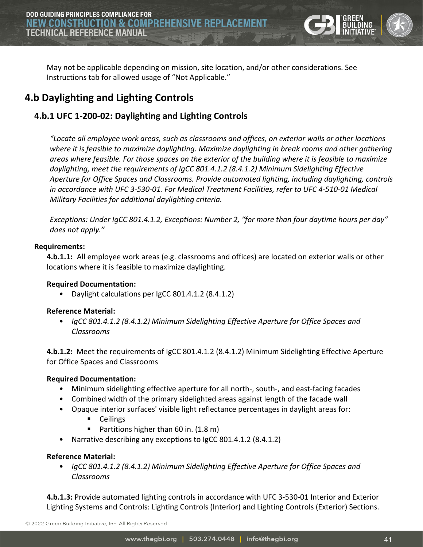

May not be applicable depending on mission, site location, and/or other considerations. See Instructions tab for allowed usage of "Not Applicable."

# <span id="page-40-0"></span>**4.b Daylighting and Lighting Controls**

# <span id="page-40-1"></span>**4.b.1 UFC 1-200-02: Daylighting and Lighting Controls**

*"Locate all employee work areas, such as classrooms and offices, on exterior walls or other locations where it is feasible to maximize daylighting. Maximize daylighting in break rooms and other gathering areas where feasible. For those spaces on the exterior of the building where it is feasible to maximize daylighting, meet the requirements of IgCC 801.4.1.2 (8.4.1.2) Minimum Sidelighting Effective Aperture for Office Spaces and Classrooms. Provide automated lighting, including daylighting, controls in accordance with UFC 3-530-01. For Medical Treatment Facilities, refer to UFC 4-510-01 Medical Military Facilities for additional daylighting criteria.*

*Exceptions: Under IgCC 801.4.1.2, Exceptions: Number 2, "for more than four daytime hours per day" does not apply."*

#### **Requirements:**

**4.b.1.1:** All employee work areas (e.g. classrooms and offices) are located on exterior walls or other locations where it is feasible to maximize daylighting.

#### **Required Documentation:**

• Daylight calculations per IgCC 801.4.1.2 (8.4.1.2)

#### **Reference Material:**

• *IgCC 801.4.1.2 (8.4.1.2) Minimum Sidelighting Effective Aperture for Office Spaces and Classrooms*

**4.b.1.2:** Meet the requirements of IgCC 801.4.1.2 (8.4.1.2) Minimum Sidelighting Effective Aperture for Office Spaces and Classrooms

#### **Required Documentation:**

- Minimum sidelighting effective aperture for all north-, south-, and east-facing facades
- Combined width of the primary sidelighted areas against length of the facade wall
- Opaque interior surfaces' visible light reflectance percentages in daylight areas for:
	- **Ceilings**
	- Partitions higher than 60 in. (1.8 m)
- Narrative describing any exceptions to IgCC 801.4.1.2 (8.4.1.2)

#### **Reference Material:**

• *IgCC 801.4.1.2 (8.4.1.2) Minimum Sidelighting Effective Aperture for Office Spaces and Classrooms*

**4.b.1.3:** Provide automated lighting controls in accordance with UFC 3-530-01 Interior and Exterior Lighting Systems and Controls: Lighting Controls (Interior) and Lighting Controls (Exterior) Sections.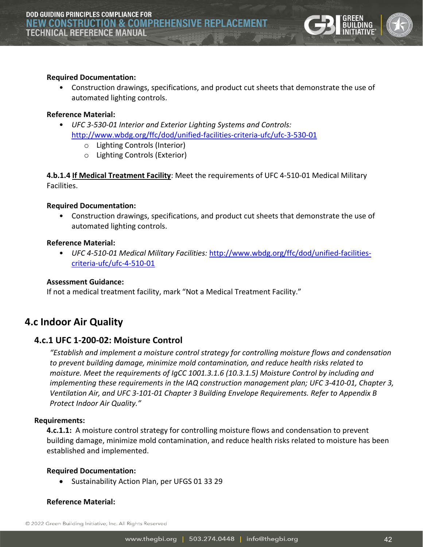

#### **Required Documentation:**

• Construction drawings, specifications, and product cut sheets that demonstrate the use of automated lighting controls.

#### **Reference Material:**

- *UFC 3-530-01 Interior and Exterior Lighting Systems and Controls:*  <http://www.wbdg.org/ffc/dod/unified-facilities-criteria-ufc/ufc-3-530-01>
	- o Lighting Controls (Interior)
	- o Lighting Controls (Exterior)

**4.b.1.4 If Medical Treatment Facility**: Meet the requirements of UFC 4-510-01 Medical Military Facilities.

#### **Required Documentation:**

• Construction drawings, specifications, and product cut sheets that demonstrate the use of automated lighting controls.

#### **Reference Material:**

• *UFC 4-510-01 Medical Military Facilities:* [http://www.wbdg.org/ffc/dod/unified-facilities](http://www.wbdg.org/ffc/dod/unified-facilities-criteria-ufc/ufc-4-510-01)[criteria-ufc/ufc-4-510-01](http://www.wbdg.org/ffc/dod/unified-facilities-criteria-ufc/ufc-4-510-01)

#### **Assessment Guidance:**

If not a medical treatment facility, mark "Not a Medical Treatment Facility."

# <span id="page-41-0"></span>**4.c Indoor Air Quality**

#### <span id="page-41-1"></span>**4.c.1 UFC 1-200-02: Moisture Control**

*"Establish and implement a moisture control strategy for controlling moisture flows and condensation to prevent building damage, minimize mold contamination, and reduce health risks related to moisture. Meet the requirements of IgCC 1001.3.1.6 (10.3.1.5) Moisture Control by including and implementing these requirements in the IAQ construction management plan; UFC 3-410-01, Chapter 3, Ventilation Air, and UFC 3-101-01 Chapter 3 Building Envelope Requirements. Refer to Appendix B Protect Indoor Air Quality."*

#### **Requirements:**

**4.c.1.1:** A moisture control strategy for controlling moisture flows and condensation to prevent building damage, minimize mold contamination, and reduce health risks related to moisture has been established and implemented.

#### **Required Documentation:**

• Sustainability Action Plan, per UFGS 01 33 29

#### **Reference Material:**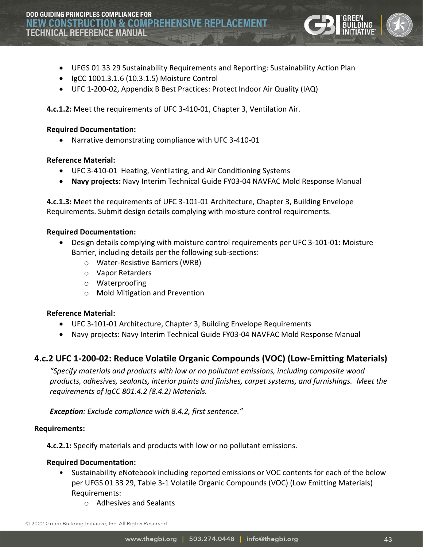

- UFGS 01 33 29 Sustainability Requirements and Reporting: Sustainability Action Plan
- IgCC 1001.3.1.6 (10.3.1.5) Moisture Control
- UFC 1-200-02, Appendix B Best Practices: Protect Indoor Air Quality (IAQ)

**4.c.1.2:** Meet the requirements of UFC 3-410-01, Chapter 3, Ventilation Air.

#### **Required Documentation:**

• Narrative demonstrating compliance with UFC 3-410-01

#### **Reference Material:**

- UFC 3-410-01 Heating, Ventilating, and Air Conditioning Systems
- **Navy projects:** Navy Interim Technical Guide FY03-04 NAVFAC Mold Response Manual

**4.c.1.3:** Meet the requirements of UFC 3-101-01 Architecture, Chapter 3, Building Envelope Requirements. Submit design details complying with moisture control requirements.

#### **Required Documentation:**

- Design details complying with moisture control requirements per UFC 3-101-01: Moisture Barrier, including details per the following sub-sections:
	- o Water-Resistive Barriers (WRB)
	- o Vapor Retarders
	- o Waterproofing
	- o Mold Mitigation and Prevention

#### **Reference Material:**

- UFC 3-101-01 Architecture, Chapter 3, Building Envelope Requirements
- Navy projects: Navy Interim Technical Guide FY03-04 NAVFAC Mold Response Manual

## <span id="page-42-0"></span>**4.c.2 UFC 1-200-02: Reduce Volatile Organic Compounds (VOC) (Low-Emitting Materials)**

*"Specify materials and products with low or no pollutant emissions, including composite wood products, adhesives, sealants, interior paints and finishes, carpet systems, and furnishings. Meet the requirements of IgCC 801.4.2 (8.4.2) Materials.* 

*Exception: Exclude compliance with 8.4.2, first sentence."*

#### **Requirements:**

**4.c.2.1:** Specify materials and products with low or no pollutant emissions.

#### **Required Documentation:**

- Sustainability eNotebook including reported emissions or VOC contents for each of the below per UFGS 01 33 29, Table 3-1 Volatile Organic Compounds (VOC) (Low Emitting Materials) Requirements:
	- o Adhesives and Sealants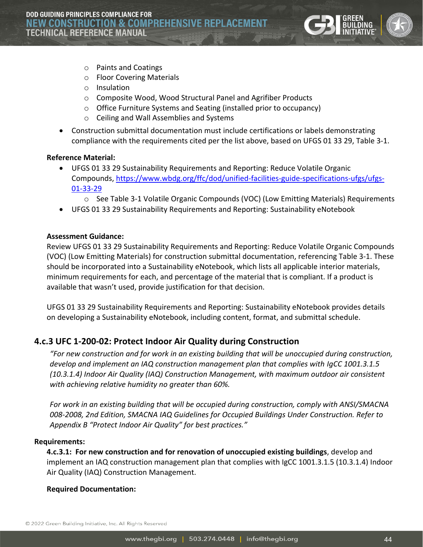

- o Paints and Coatings
- o Floor Covering Materials
- o Insulation
- o Composite Wood, Wood Structural Panel and Agrifiber Products
- o Office Furniture Systems and Seating (installed prior to occupancy)
- o Ceiling and Wall Assemblies and Systems
- Construction submittal documentation must include certifications or labels demonstrating compliance with the requirements cited per the list above, based on UFGS 01 33 29, Table 3-1.

#### **Reference Material:**

- UFGS 01 33 29 Sustainability Requirements and Reporting: Reduce Volatile Organic Compounds, [https://www.wbdg.org/ffc/dod/unified-facilities-guide-specifications-ufgs/ufgs-](https://www.wbdg.org/ffc/dod/unified-facilities-guide-specifications-ufgs/ufgs-01-33-29)[01-33-29](https://www.wbdg.org/ffc/dod/unified-facilities-guide-specifications-ufgs/ufgs-01-33-29)
	- o See Table 3-1 Volatile Organic Compounds (VOC) (Low Emitting Materials) Requirements
- UFGS 01 33 29 Sustainability Requirements and Reporting: Sustainability eNotebook

#### **Assessment Guidance:**

Review UFGS 01 33 29 Sustainability Requirements and Reporting: Reduce Volatile Organic Compounds (VOC) (Low Emitting Materials) for construction submittal documentation, referencing Table 3-1. These should be incorporated into a Sustainability eNotebook, which lists all applicable interior materials, minimum requirements for each, and percentage of the material that is compliant. If a product is available that wasn't used, provide justification for that decision.

UFGS 01 33 29 Sustainability Requirements and Reporting: Sustainability eNotebook provides details on developing a Sustainability eNotebook, including content, format, and submittal schedule.

#### <span id="page-43-0"></span>**4.c.3 UFC 1-200-02: Protect Indoor Air Quality during Construction**

*"For new construction and for work in an existing building that will be unoccupied during construction, develop and implement an IAQ construction management plan that complies with IgCC 1001.3.1.5 (10.3.1.4) Indoor Air Quality (IAQ) Construction Management, with maximum outdoor air consistent with achieving relative humidity no greater than 60%.*

*For work in an existing building that will be occupied during construction, comply with ANSI/SMACNA 008-2008, 2nd Edition, SMACNA IAQ Guidelines for Occupied Buildings Under Construction. Refer to Appendix B "Protect Indoor Air Quality" for best practices."*

#### **Requirements:**

**4.c.3.1: For new construction and for renovation of unoccupied existing buildings**, develop and implement an IAQ construction management plan that complies with IgCC 1001.3.1.5 (10.3.1.4) Indoor Air Quality (IAQ) Construction Management.

#### **Required Documentation:**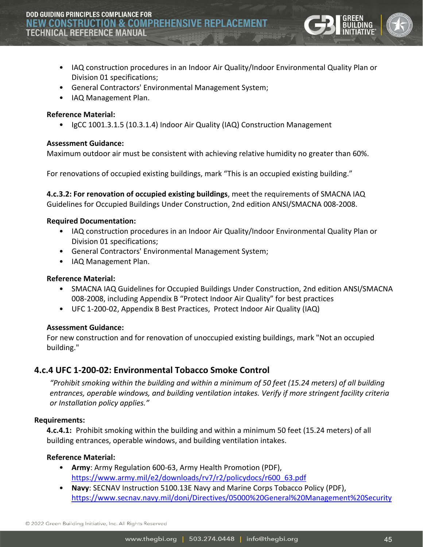- IAQ construction procedures in an Indoor Air Quality/Indoor Environmental Quality Plan or Division 01 specifications;
- General Contractors' Environmental Management System;
- IAQ Management Plan.

#### **Reference Material:**

• IgCC 1001.3.1.5 (10.3.1.4) Indoor Air Quality (IAQ) Construction Management

#### **Assessment Guidance:**

Maximum outdoor air must be consistent with achieving relative humidity no greater than 60%.

For renovations of occupied existing buildings, mark "This is an occupied existing building."

**4.c.3.2: For renovation of occupied existing buildings**, meet the requirements of SMACNA IAQ Guidelines for Occupied Buildings Under Construction, 2nd edition ANSI/SMACNA 008-2008.

#### **Required Documentation:**

- IAQ construction procedures in an Indoor Air Quality/Indoor Environmental Quality Plan or Division 01 specifications;
- General Contractors' Environmental Management System;
- IAQ Management Plan.

#### **Reference Material:**

- SMACNA IAQ Guidelines for Occupied Buildings Under Construction, 2nd edition ANSI/SMACNA 008-2008, including Appendix B "Protect Indoor Air Quality" for best practices
- UFC 1-200-02, Appendix B Best Practices, Protect Indoor Air Quality (IAQ)

#### **Assessment Guidance:**

For new construction and for renovation of unoccupied existing buildings, mark "Not an occupied building."

#### <span id="page-44-0"></span>**4.c.4 UFC 1-200-02: Environmental Tobacco Smoke Control**

*"Prohibit smoking within the building and within a minimum of 50 feet (15.24 meters) of all building entrances, operable windows, and building ventilation intakes. Verify if more stringent facility criteria or Installation policy applies."*

#### **Requirements:**

**4.c.4.1:** Prohibit smoking within the building and within a minimum 50 feet (15.24 meters) of all building entrances, operable windows, and building ventilation intakes.

#### **Reference Material:**

- **Army**: Army Regulation 600-63, Army Health Promotion (PDF), [https://www.army.mil/e2/downloads/rv7/r2/policydocs/r600\\_63.pdf](https://www.army.mil/e2/downloads/rv7/r2/policydocs/r600_63.pdf)
- **Navy**: SECNAV Instruction 5100.13E Navy and Marine Corps Tobacco Policy (PDF), [https://www.secnav.navy.mil/doni/Directives/05000%20General%20Management%20Security](https://www.secnav.navy.mil/doni/Directives/05000%20General%20Management%20Security%20and%20Safety%20Services/05-100%20Safety%20and%20Occupational%20Health%20Services/5100.13E.pdf)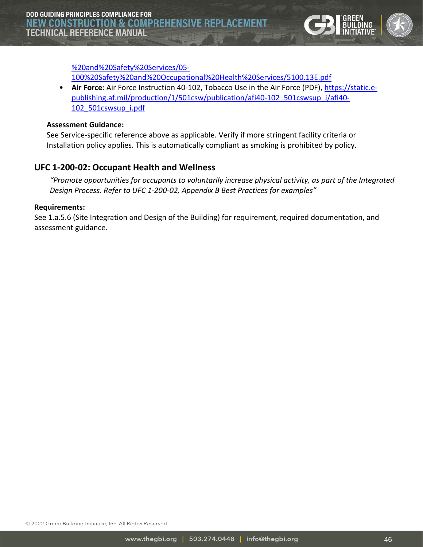

[%20and%20Safety%20Services/05-](https://www.secnav.navy.mil/doni/Directives/05000%20General%20Management%20Security%20and%20Safety%20Services/05-100%20Safety%20and%20Occupational%20Health%20Services/5100.13E.pdf)

[100%20Safety%20and%20Occupational%20Health%20Services/5100.13E.pdf](https://www.secnav.navy.mil/doni/Directives/05000%20General%20Management%20Security%20and%20Safety%20Services/05-100%20Safety%20and%20Occupational%20Health%20Services/5100.13E.pdf)

• **Air Force**: Air Force Instruction 40-102, Tobacco Use in the Air Force (PDF)[, https://static.e](https://static.e-publishing.af.mil/production/1/501csw/publication/afi40-102_501cswsup_i/afi40-102_501cswsup_i.pdf)[publishing.af.mil/production/1/501csw/publication/afi40-102\\_501cswsup\\_i/afi40-](https://static.e-publishing.af.mil/production/1/501csw/publication/afi40-102_501cswsup_i/afi40-102_501cswsup_i.pdf) [102\\_501cswsup\\_i.pdf](https://static.e-publishing.af.mil/production/1/501csw/publication/afi40-102_501cswsup_i/afi40-102_501cswsup_i.pdf)

#### **Assessment Guidance:**

See Service-specific reference above as applicable. Verify if more stringent facility criteria or Installation policy applies. This is automatically compliant as smoking is prohibited by policy.

## <span id="page-45-0"></span>**UFC 1-200-02: Occupant Health and Wellness**

*"Promote opportunities for occupants to voluntarily increase physical activity, as part of the Integrated Design Process. Refer to UFC 1-200-02, Appendix B Best Practices for examples"*

#### **Requirements:**

<span id="page-45-1"></span>See 1.a.5.6 (Site Integration and Design of the Building) for requirement, required documentation, and assessment guidance.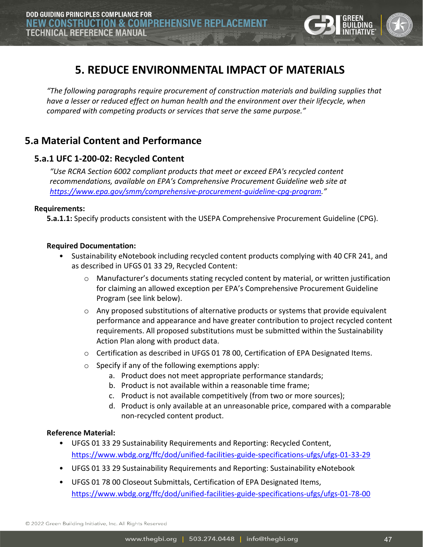

# **5. REDUCE ENVIRONMENTAL IMPACT OF MATERIALS**

*"The following paragraphs require procurement of construction materials and building supplies that have a lesser or reduced effect on human health and the environment over their lifecycle, when compared with competing products or services that serve the same purpose."* 

# <span id="page-46-0"></span>**5.a Material Content and Performance**

# <span id="page-46-1"></span>**5.a.1 UFC 1-200-02: Recycled Content**

*"Use RCRA Section 6002 compliant products that meet or exceed EPA's recycled content recommendations, available on EPA's Comprehensive Procurement Guideline web site at [https://www.epa.gov/smm/comprehensive](https://www.epa.gov/smm/comprehensive-procurement-guideline-cpg-program)-procurement-guideline-cpg-program."*

#### **Requirements:**

**5.a.1.1:** Specify products consistent with the USEPA Comprehensive Procurement Guideline (CPG).

#### **Required Documentation:**

- Sustainability eNotebook including recycled content products complying with 40 CFR 241, and as described in UFGS 01 33 29, Recycled Content:
	- o Manufacturer's documents stating recycled content by material, or written justification for claiming an allowed exception per EPA's Comprehensive Procurement Guideline Program (see link below).
	- $\circ$  Any proposed substitutions of alternative products or systems that provide equivalent performance and appearance and have greater contribution to project recycled content requirements. All proposed substitutions must be submitted within the Sustainability Action Plan along with product data.
	- $\circ$  Certification as described in UFGS 01 78 00, Certification of EPA Designated Items.
	- $\circ$  Specify if any of the following exemptions apply:
		- a. Product does not meet appropriate performance standards;
		- b. Product is not available within a reasonable time frame;
		- c. Product is not available competitively (from two or more sources);
		- d. Product is only available at an unreasonable price, compared with a comparable non-recycled content product.

#### **Reference Material:**

- UFGS 01 33 29 Sustainability Requirements and Reporting: Recycled Content, <https://www.wbdg.org/ffc/dod/unified-facilities-guide-specifications-ufgs/ufgs-01-33-29>
- UFGS 01 33 29 Sustainability Requirements and Reporting: Sustainability eNotebook
- UFGS 01 78 00 Closeout Submittals, Certification of EPA Designated Items, <https://www.wbdg.org/ffc/dod/unified-facilities-guide-specifications-ufgs/ufgs-01-78-00>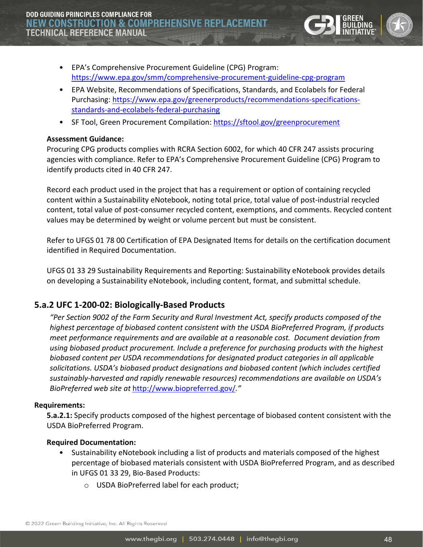**DOD GUIDING PRINCIPLES COMPLIANCE FOR NEW CONSTRUCTION & COMPREHENSIV TECHNICAL REFERENCE MANUAL** 



- EPA's Comprehensive Procurement Guideline (CPG) Program: <https://www.epa.gov/smm/comprehensive-procurement-guideline-cpg-program>
- EPA Website, Recommendations of Specifications, Standards, and Ecolabels for Federal Purchasing: [https://www.epa.gov/greenerproducts/recommendations-specifications](https://www.epa.gov/greenerproducts/recommendations-specifications-standards-and-ecolabels-federal-purchasing)[standards-and-ecolabels-federal-purchasing](https://www.epa.gov/greenerproducts/recommendations-specifications-standards-and-ecolabels-federal-purchasing)
- SF Tool, Green Procurement Compilation:<https://sftool.gov/greenprocurement>

#### **Assessment Guidance:**

Procuring CPG products complies with RCRA Section 6002, for which 40 CFR 247 assists procuring agencies with compliance. Refer to EPA's Comprehensive Procurement Guideline (CPG) Program to identify products cited in 40 CFR 247.

Record each product used in the project that has a requirement or option of containing recycled content within a Sustainability eNotebook, noting total price, total value of post-industrial recycled content, total value of post-consumer recycled content, exemptions, and comments. Recycled content values may be determined by weight or volume percent but must be consistent.

Refer to UFGS 01 78 00 Certification of EPA Designated Items for details on the certification document identified in Required Documentation.

UFGS 01 33 29 Sustainability Requirements and Reporting: Sustainability eNotebook provides details on developing a Sustainability eNotebook, including content, format, and submittal schedule.

# <span id="page-47-0"></span>**5.a.2 UFC 1-200-02: Biologically-Based Products**

*"Per Section 9002 of the Farm Security and Rural Investment Act, specify products composed of the highest percentage of biobased content consistent with the USDA BioPreferred Program, if products meet performance requirements and are available at a reasonable cost. Document deviation from using biobased product procurement. Include a preference for purchasing products with the highest biobased content per USDA recommendations for designated product categories in all applicable solicitations. USDA's biobased product designations and biobased content (which includes certified sustainably-harvested and rapidly renewable resources) recommendations are available on USDA's BioPreferred web site at* <http://www.biopreferred.gov/>*."*

#### **Requirements:**

**5.a.2.1:** Specify products composed of the highest percentage of biobased content consistent with the USDA BioPreferred Program.

#### **Required Documentation:**

- Sustainability eNotebook including a list of products and materials composed of the highest percentage of biobased materials consistent with USDA BioPreferred Program, and as described in UFGS 01 33 29, Bio-Based Products:
	- o USDA BioPreferred label for each product;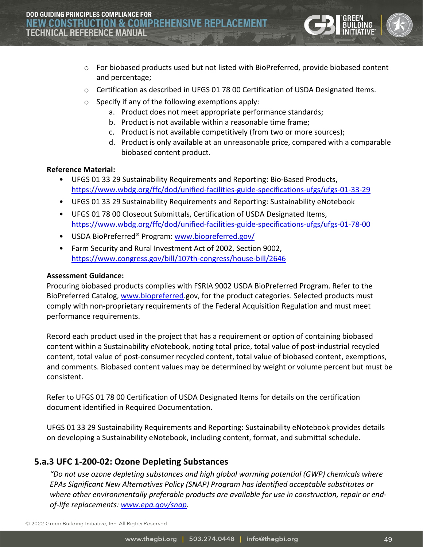- o For biobased products used but not listed with BioPreferred, provide biobased content and percentage;
- $\circ$  Certification as described in UFGS 01 78 00 Certification of USDA Designated Items.
- o Specify if any of the following exemptions apply:
	- a. Product does not meet appropriate performance standards;
	- b. Product is not available within a reasonable time frame;
	- c. Product is not available competitively (from two or more sources);
	- d. Product is only available at an unreasonable price, compared with a comparable biobased content product.

#### **Reference Material:**

- UFGS 01 33 29 Sustainability Requirements and Reporting: Bio-Based Products, <https://www.wbdg.org/ffc/dod/unified-facilities-guide-specifications-ufgs/ufgs-01-33-29>
- UFGS 01 33 29 Sustainability Requirements and Reporting: Sustainability eNotebook
- UFGS 01 78 00 Closeout Submittals, Certification of USDA Designated Items, <https://www.wbdg.org/ffc/dod/unified-facilities-guide-specifications-ufgs/ufgs-01-78-00>
- USDA BioPreferred® Program: [www.biopreferred.gov/](http://www.biopreferred.gov/)
- Farm Security and Rural Investment Act of 2002, Section 9002, <https://www.congress.gov/bill/107th-congress/house-bill/2646>

#### **Assessment Guidance:**

Procuring biobased products complies with FSRIA 9002 USDA BioPreferred Program. Refer to the BioPreferred Catalog, [www.biopreferred.](http://www.biopreferred/)gov, for the product categories. Selected products must comply with non-proprietary requirements of the Federal Acquisition Regulation and must meet performance requirements.

Record each product used in the project that has a requirement or option of containing biobased content within a Sustainability eNotebook, noting total price, total value of post-industrial recycled content, total value of post-consumer recycled content, total value of biobased content, exemptions, and comments. Biobased content values may be determined by weight or volume percent but must be consistent.

Refer to UFGS 01 78 00 Certification of USDA Designated Items for details on the certification document identified in Required Documentation.

UFGS 01 33 29 Sustainability Requirements and Reporting: Sustainability eNotebook provides details on developing a Sustainability eNotebook, including content, format, and submittal schedule.

## <span id="page-48-0"></span>**5.a.3 UFC 1-200-02: Ozone Depleting Substances**

*"Do not use ozone depleting substances and high global warming potential (GWP) chemicals where EPAs Significant New Alternatives Policy (SNAP) Program has identified acceptable substitutes or where other environmentally preferable products are available for use in construction, repair or endof-life replacements: [www.epa.gov/snap](http://www.epa.gov/snap).*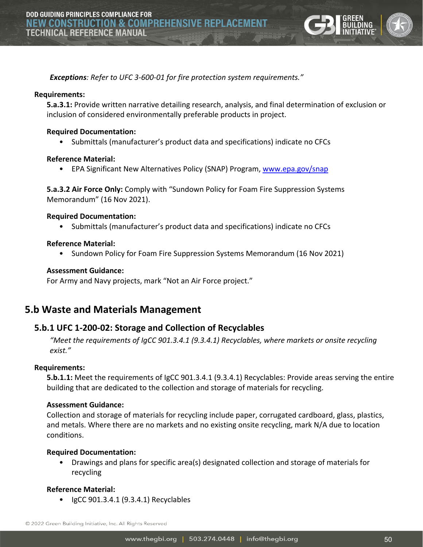

*Exceptions: Refer to UFC 3-600-01 for fire protection system requirements."*

#### **Requirements:**

**5.a.3.1:** Provide written narrative detailing research, analysis, and final determination of exclusion or inclusion of considered environmentally preferable products in project.

#### **Required Documentation:**

• Submittals (manufacturer's product data and specifications) indicate no CFCs

#### **Reference Material:**

• EPA Significant New Alternatives Policy (SNAP) Program, [www.epa.gov/snap](http://www.epa.gov/snap)

**5.a.3.2 Air Force Only:** Comply with "Sundown Policy for Foam Fire Suppression Systems Memorandum" (16 Nov 2021).

#### **Required Documentation:**

• Submittals (manufacturer's product data and specifications) indicate no CFCs

#### **Reference Material:**

• Sundown Policy for Foam Fire Suppression Systems Memorandum (16 Nov 2021)

#### **Assessment Guidance:**

For Army and Navy projects, mark "Not an Air Force project."

# <span id="page-49-0"></span>**5.b Waste and Materials Management**

#### <span id="page-49-1"></span>**5.b.1 UFC 1-200-02: Storage and Collection of Recyclables**

*"Meet the requirements of IgCC 901.3.4.1 (9.3.4.1) Recyclables, where markets or onsite recycling exist."*

#### **Requirements:**

**5.b.1.1:** Meet the requirements of IgCC 901.3.4.1 (9.3.4.1) Recyclables: Provide areas serving the entire building that are dedicated to the collection and storage of materials for recycling.

#### **Assessment Guidance:**

Collection and storage of materials for recycling include paper, corrugated cardboard, glass, plastics, and metals. Where there are no markets and no existing onsite recycling, mark N/A due to location conditions.

#### **Required Documentation:**

• Drawings and plans for specific area(s) designated collection and storage of materials for recycling

#### **Reference Material:**

• IgCC 901.3.4.1 (9.3.4.1) Recyclables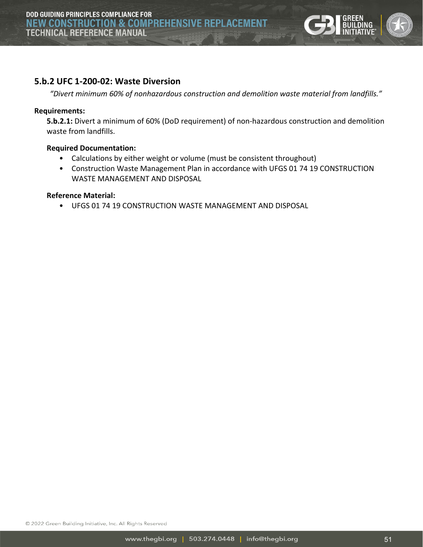

### <span id="page-50-0"></span>**5.b.2 UFC 1-200-02: Waste Diversion**

*"Divert minimum 60% of nonhazardous construction and demolition waste material from landfills."*

#### **Requirements:**

**5.b.2.1:** Divert a minimum of 60% (DoD requirement) of non-hazardous construction and demolition waste from landfills.

#### **Required Documentation:**

- Calculations by either weight or volume (must be consistent throughout)
- Construction Waste Management Plan in accordance with UFGS 01 74 19 CONSTRUCTION WASTE MANAGEMENT AND DISPOSAL

#### **Reference Material:**

• UFGS 01 74 19 CONSTRUCTION WASTE MANAGEMENT AND DISPOSAL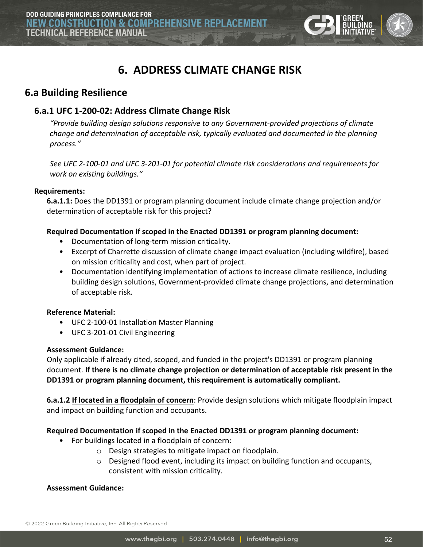

# **6. ADDRESS CLIMATE CHANGE RISK**

# <span id="page-51-1"></span><span id="page-51-0"></span>**6.a Building Resilience**

# <span id="page-51-2"></span>**6.a.1 UFC 1-200-02: Address Climate Change Risk**

*"Provide building design solutions responsive to any Government-provided projections of climate change and determination of acceptable risk, typically evaluated and documented in the planning process."*

*See UFC 2-100-01 and UFC 3-201-01 for potential climate risk considerations and requirements for work on existing buildings."*

#### **Requirements:**

**6.a.1.1:** Does the DD1391 or program planning document include climate change projection and/or determination of acceptable risk for this project?

#### **Required Documentation if scoped in the Enacted DD1391 or program planning document:**

- Documentation of long-term mission criticality.
- Excerpt of Charrette discussion of climate change impact evaluation (including wildfire), based on mission criticality and cost, when part of project.
- Documentation identifying implementation of actions to increase climate resilience, including building design solutions, Government-provided climate change projections, and determination of acceptable risk.

#### **Reference Material:**

- UFC 2-100-01 Installation Master Planning
- UFC 3-201-01 Civil Engineering

#### **Assessment Guidance:**

Only applicable if already cited, scoped, and funded in the project's DD1391 or program planning document. **If there is no climate change projection or determination of acceptable risk present in the DD1391 or program planning document, this requirement is automatically compliant.**

**6.a.1.2 If located in a floodplain of concern**: Provide design solutions which mitigate floodplain impact and impact on building function and occupants.

#### **Required Documentation if scoped in the Enacted DD1391 or program planning document:**

- For buildings located in a floodplain of concern:
	- o Design strategies to mitigate impact on floodplain.
	- $\circ$  Designed flood event, including its impact on building function and occupants, consistent with mission criticality.

#### **Assessment Guidance:**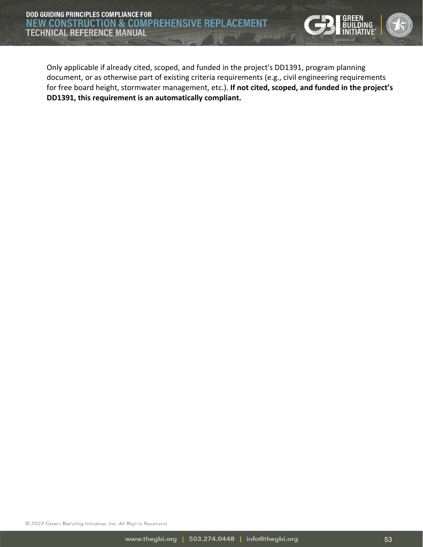

Only applicable if already cited, scoped, and funded in the project's DD1391, program planning document, or as otherwise part of existing criteria requirements (e.g., civil engineering requirements for free board height, stormwater management, etc.). **If not cited, scoped, and funded in the project's DD1391, this requirement is an automatically compliant.**